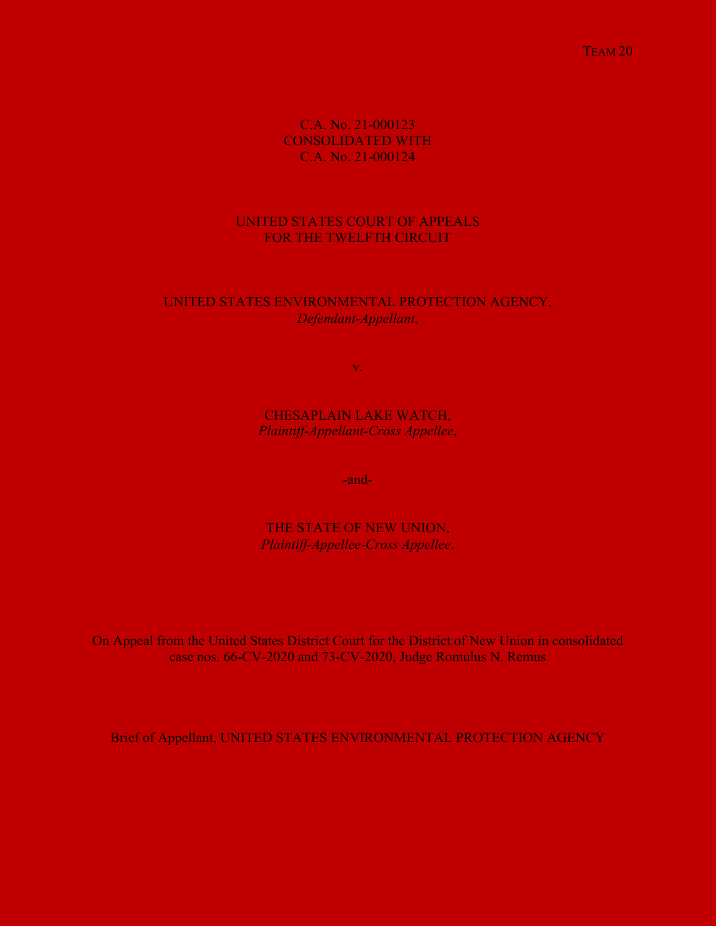TEAM 20 TEAM 20

C.A. No. 21-000123 CONSOLIDATED WITH C.A. No. 21-000124

# UNITED STATES COURT OF APPEALS FOR THE TWELFTH CIRCUIT

# UNITED STATES ENVIRONMENTAL PROTECTION AGENCY, *Defendant-Appellant*,

v.

CHESAPLAIN LAKE WATCH, *Plaintiff-Appellant-Cross Appellee*,

-and-

THE STATE OF NEW UNION, *Plaintiff-Appellee-Cross Appellee*.

On Appeal from the United States District Court for the District of New Union in consolidated case nos. 66-CV-2020 and 73-CV-2020, Judge Romulus N. Remus

Brief of Appellant, UNITED STATES ENVIRONMENTAL PROTECTION AGENCY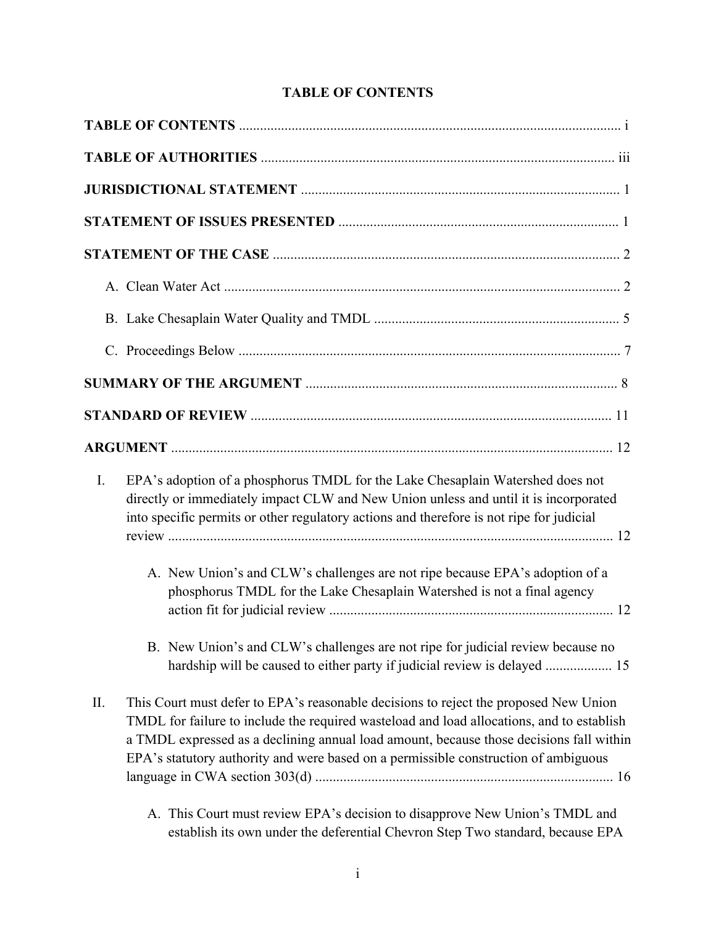# **TABLE OF CONTENTS**

| I. | EPA's adoption of a phosphorus TMDL for the Lake Chesaplain Watershed does not<br>directly or immediately impact CLW and New Union unless and until it is incorporated<br>into specific permits or other regulatory actions and therefore is not ripe for judicial                                                                                                                                                                                 |
|----|----------------------------------------------------------------------------------------------------------------------------------------------------------------------------------------------------------------------------------------------------------------------------------------------------------------------------------------------------------------------------------------------------------------------------------------------------|
|    | A. New Union's and CLW's challenges are not ripe because EPA's adoption of a<br>phosphorus TMDL for the Lake Chesaplain Watershed is not a final agency                                                                                                                                                                                                                                                                                            |
|    | B. New Union's and CLW's challenges are not ripe for judicial review because no<br>hardship will be caused to either party if judicial review is delayed  15                                                                                                                                                                                                                                                                                       |
| Π. | This Court must defer to EPA's reasonable decisions to reject the proposed New Union<br>TMDL for failure to include the required wasteload and load allocations, and to establish<br>a TMDL expressed as a declining annual load amount, because those decisions fall within<br>EPA's statutory authority and were based on a permissible construction of ambiguous<br>A. This Court must review EPA's decision to disapprove New Union's TMDL and |
|    | establish its own under the deferential Chevron Step Two standard, because EPA                                                                                                                                                                                                                                                                                                                                                                     |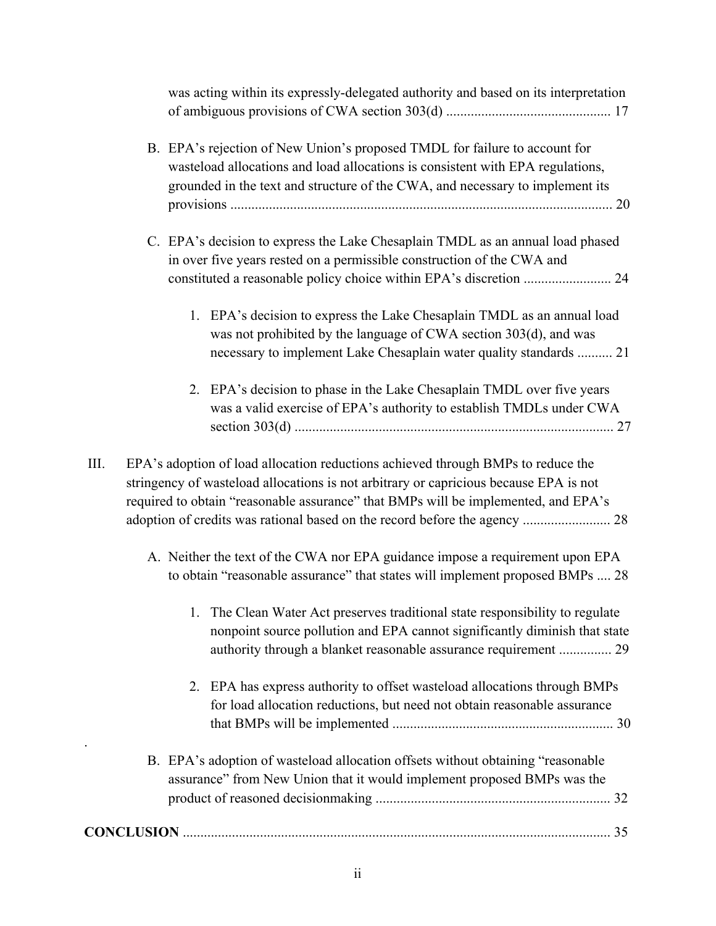| was acting within its expressly-delegated authority and based on its interpretation                                                                                                                                                                                                                                                                   |
|-------------------------------------------------------------------------------------------------------------------------------------------------------------------------------------------------------------------------------------------------------------------------------------------------------------------------------------------------------|
| B. EPA's rejection of New Union's proposed TMDL for failure to account for<br>wasteload allocations and load allocations is consistent with EPA regulations,<br>grounded in the text and structure of the CWA, and necessary to implement its                                                                                                         |
| C. EPA's decision to express the Lake Chesaplain TMDL as an annual load phased<br>in over five years rested on a permissible construction of the CWA and                                                                                                                                                                                              |
| 1. EPA's decision to express the Lake Chesaplain TMDL as an annual load<br>was not prohibited by the language of CWA section 303(d), and was<br>necessary to implement Lake Chesaplain water quality standards  21                                                                                                                                    |
| 2. EPA's decision to phase in the Lake Chesaplain TMDL over five years<br>was a valid exercise of EPA's authority to establish TMDLs under CWA                                                                                                                                                                                                        |
| III.<br>EPA's adoption of load allocation reductions achieved through BMPs to reduce the<br>stringency of wasteload allocations is not arbitrary or capricious because EPA is not<br>required to obtain "reasonable assurance" that BMPs will be implemented, and EPA's<br>adoption of credits was rational based on the record before the agency  28 |
| A. Neither the text of the CWA nor EPA guidance impose a requirement upon EPA<br>to obtain "reasonable assurance" that states will implement proposed BMPs  28                                                                                                                                                                                        |
| The Clean Water Act preserves traditional state responsibility to regulate<br>nonpoint source pollution and EPA cannot significantly diminish that state<br>authority through a blanket reasonable assurance requirement  29                                                                                                                          |
| 2. EPA has express authority to offset wasteload allocations through BMPs<br>for load allocation reductions, but need not obtain reasonable assurance                                                                                                                                                                                                 |
| B. EPA's adoption of wasteload allocation offsets without obtaining "reasonable"<br>assurance" from New Union that it would implement proposed BMPs was the                                                                                                                                                                                           |
|                                                                                                                                                                                                                                                                                                                                                       |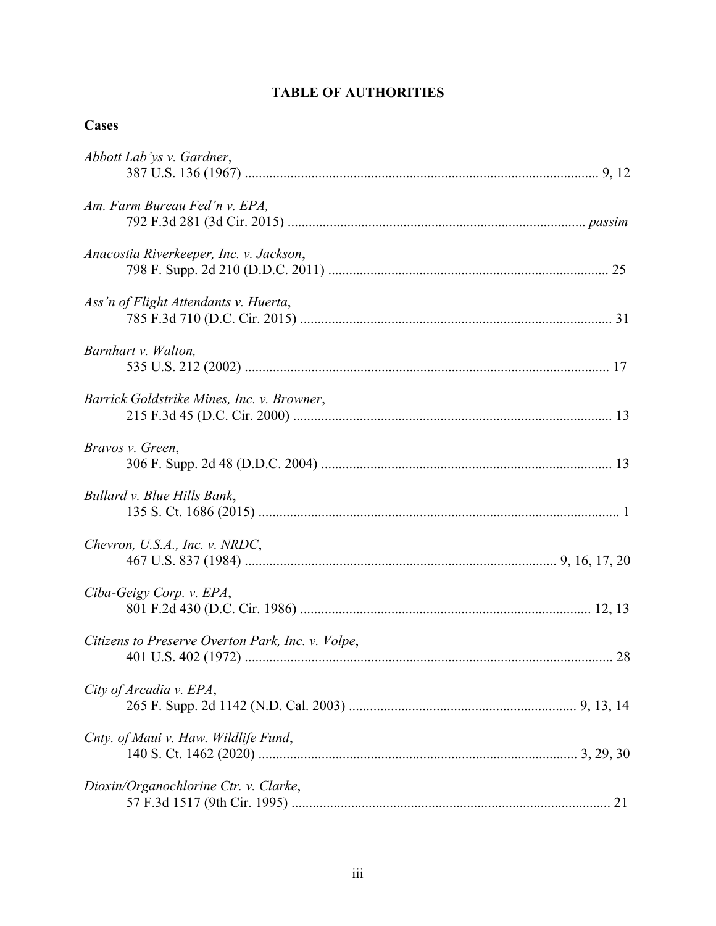# **TABLE OF AUTHORITIES**

| × |
|---|
|---|

| Abbott Lab'ys v. Gardner,                         |
|---------------------------------------------------|
| Am. Farm Bureau Fed'n v. EPA,                     |
| Anacostia Riverkeeper, Inc. v. Jackson,           |
| Ass'n of Flight Attendants v. Huerta,             |
| Barnhart v. Walton,                               |
| Barrick Goldstrike Mines, Inc. v. Browner,        |
| Bravos v. Green,                                  |
| Bullard v. Blue Hills Bank,                       |
| Chevron, U.S.A., Inc. v. NRDC,                    |
| Ciba-Geigy Corp. v. EPA,                          |
| Citizens to Preserve Overton Park, Inc. v. Volpe, |
| City of Arcadia v. EPA,                           |
| Cnty. of Maui v. Haw. Wildlife Fund,              |
| Dioxin/Organochlorine Ctr. v. Clarke,             |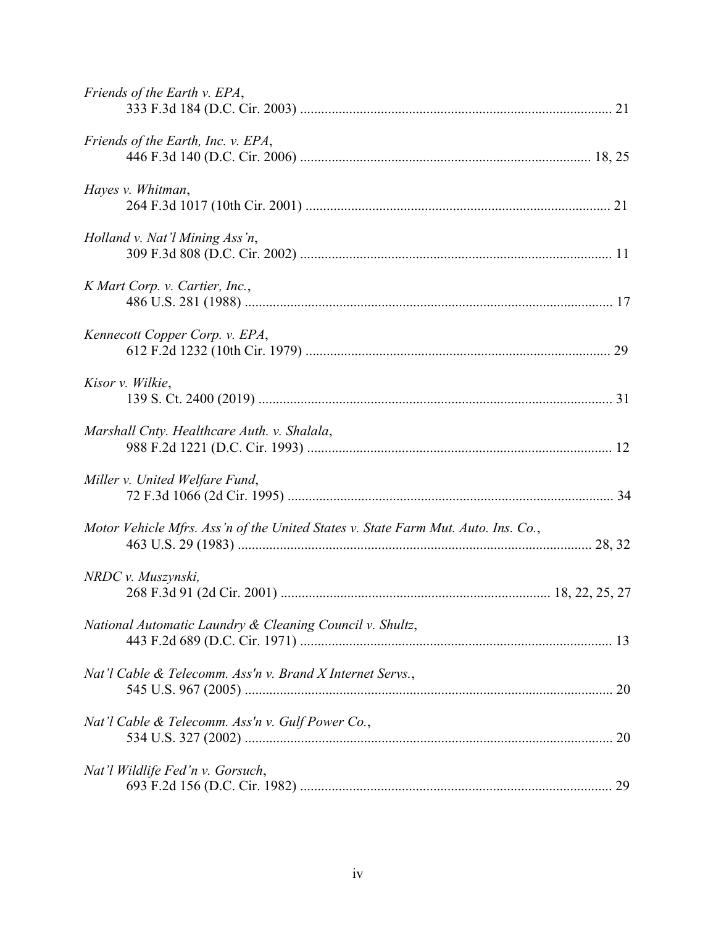| Friends of the Earth v. EPA,                                                      |
|-----------------------------------------------------------------------------------|
| Friends of the Earth, Inc. v. EPA,                                                |
| Hayes v. Whitman,                                                                 |
| Holland v. Nat'l Mining Ass'n,                                                    |
| K Mart Corp. v. Cartier, Inc.,                                                    |
| Kennecott Copper Corp. v. EPA,                                                    |
| Kisor v. Wilkie,                                                                  |
| Marshall Cnty. Healthcare Auth. v. Shalala,                                       |
| Miller v. United Welfare Fund,                                                    |
| Motor Vehicle Mfrs. Ass'n of the United States v. State Farm Mut. Auto. Ins. Co., |
| NRDC v. Muszynski,                                                                |
| National Automatic Laundry & Cleaning Council v. Shultz,                          |
| Nat'l Cable & Telecomm. Ass'n v. Brand X Internet Servs.,                         |
| Nat'l Cable & Telecomm. Ass'n v. Gulf Power Co.,                                  |
| Nat'l Wildlife Fed'n v. Gorsuch,                                                  |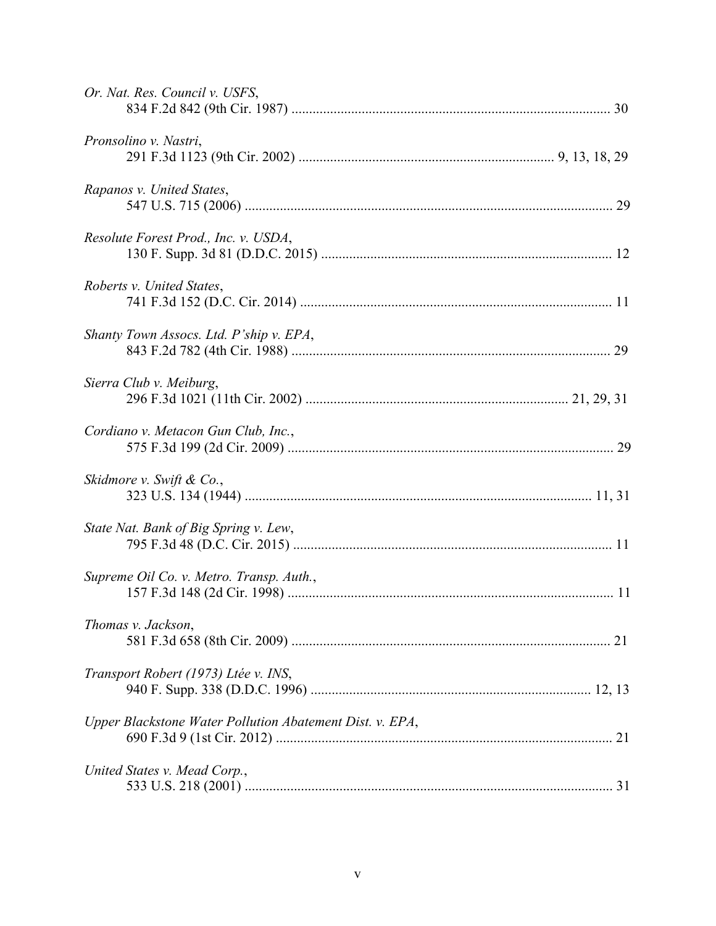| Or. Nat. Res. Council v. USFS,                           |
|----------------------------------------------------------|
| Pronsolino v. Nastri,                                    |
| Rapanos v. United States,                                |
| Resolute Forest Prod., Inc. v. USDA,                     |
| Roberts v. United States,                                |
| Shanty Town Assocs. Ltd. P'ship v. EPA,                  |
| Sierra Club v. Meiburg,                                  |
| Cordiano v. Metacon Gun Club, Inc.,                      |
| Skidmore v. Swift & Co.,                                 |
| State Nat. Bank of Big Spring v. Lew,                    |
| Supreme Oil Co. v. Metro. Transp. Auth.,                 |
| Thomas v. Jackson,                                       |
| Transport Robert (1973) Ltée v. INS,                     |
| Upper Blackstone Water Pollution Abatement Dist. v. EPA, |
| United States v. Mead Corp.,                             |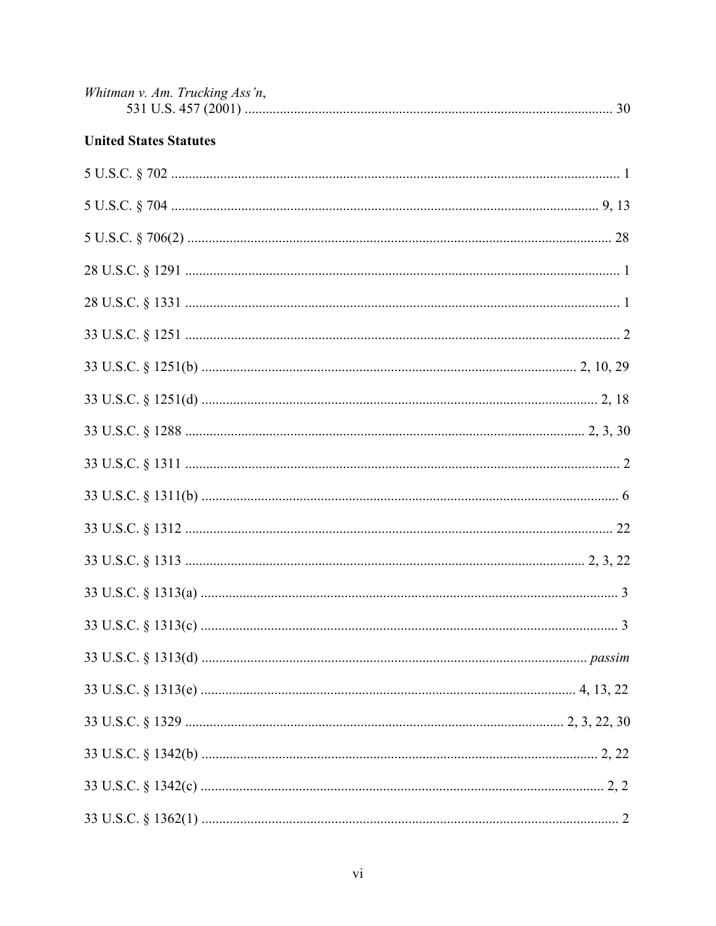| Whitman v. Am. Trucking Ass'n, |  |
|--------------------------------|--|
|                                |  |

# **United States Statutes**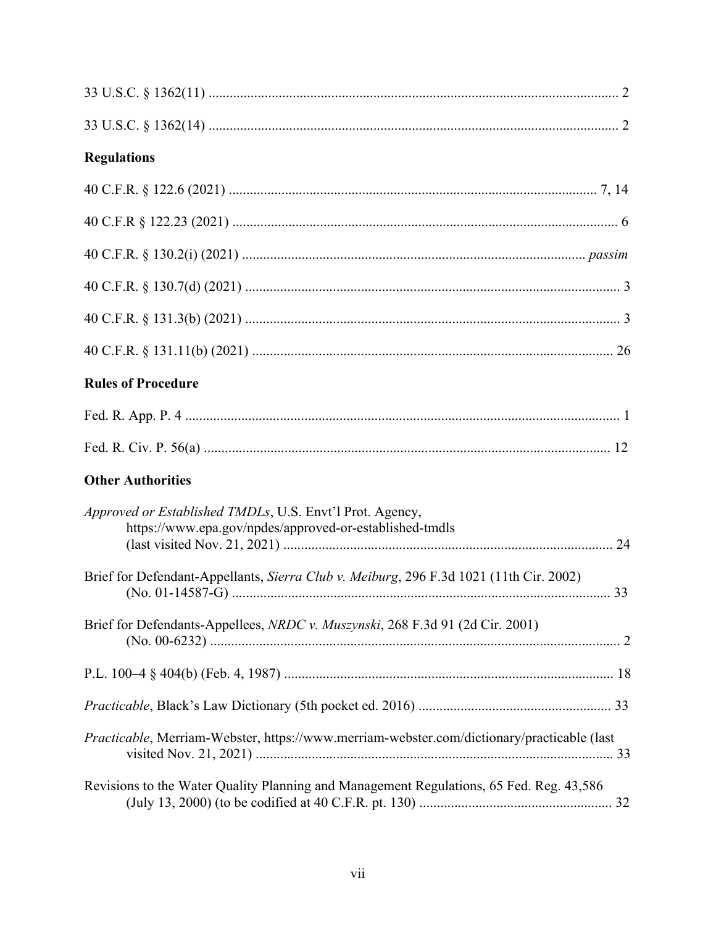| <b>Regulations</b>                                                                                                  |  |
|---------------------------------------------------------------------------------------------------------------------|--|
|                                                                                                                     |  |
|                                                                                                                     |  |
|                                                                                                                     |  |
|                                                                                                                     |  |
|                                                                                                                     |  |
|                                                                                                                     |  |
| <b>Rules of Procedure</b>                                                                                           |  |
|                                                                                                                     |  |
|                                                                                                                     |  |
| <b>Other Authorities</b>                                                                                            |  |
| Approved or Established TMDLs, U.S. Envt'l Prot. Agency,<br>https://www.epa.gov/npdes/approved-or-established-tmdls |  |
| Brief for Defendant-Appellants, Sierra Club v. Meiburg, 296 F.3d 1021 (11th Cir. 2002)                              |  |
| Brief for Defendants-Appellees, NRDC v. Muszynski, 268 F.3d 91 (2d Cir. 2001)                                       |  |
|                                                                                                                     |  |
|                                                                                                                     |  |
| Practicable, Merriam-Webster, https://www.merriam-webster.com/dictionary/practicable (last                          |  |
| Revisions to the Water Quality Planning and Management Regulations, 65 Fed. Reg. 43,586                             |  |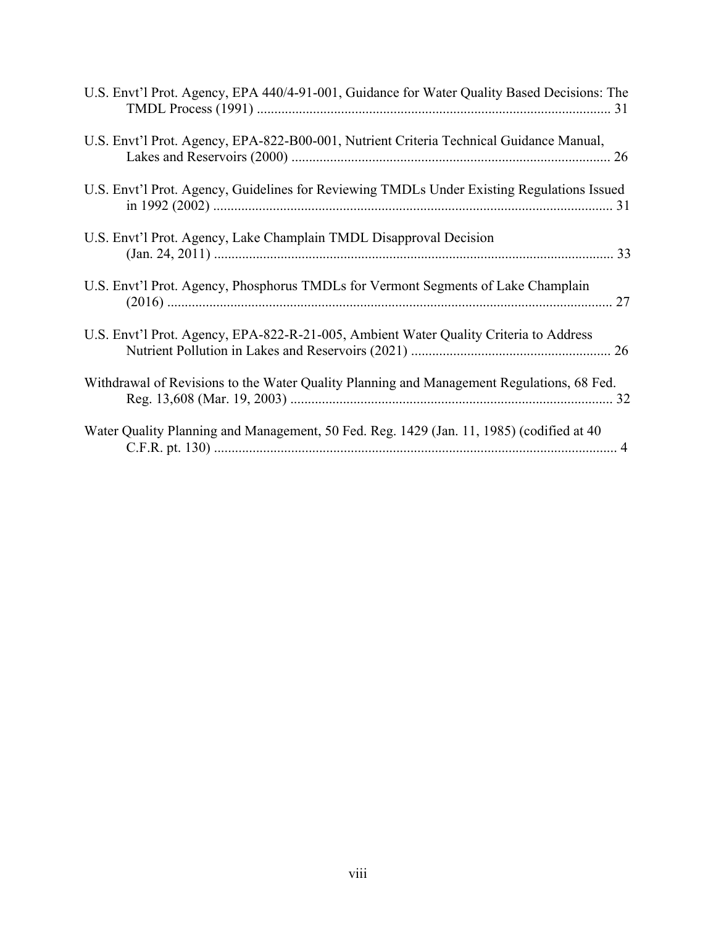| U.S. Envt'l Prot. Agency, EPA 440/4-91-001, Guidance for Water Quality Based Decisions: The |
|---------------------------------------------------------------------------------------------|
| U.S. Envt'l Prot. Agency, EPA-822-B00-001, Nutrient Criteria Technical Guidance Manual,     |
| U.S. Envt'l Prot. Agency, Guidelines for Reviewing TMDLs Under Existing Regulations Issued  |
| U.S. Envt'l Prot. Agency, Lake Champlain TMDL Disapproval Decision                          |
| U.S. Envt'l Prot. Agency, Phosphorus TMDLs for Vermont Segments of Lake Champlain           |
| U.S. Envt'l Prot. Agency, EPA-822-R-21-005, Ambient Water Quality Criteria to Address       |
| Withdrawal of Revisions to the Water Quality Planning and Management Regulations, 68 Fed.   |
| Water Quality Planning and Management, 50 Fed. Reg. 1429 (Jan. 11, 1985) (codified at 40    |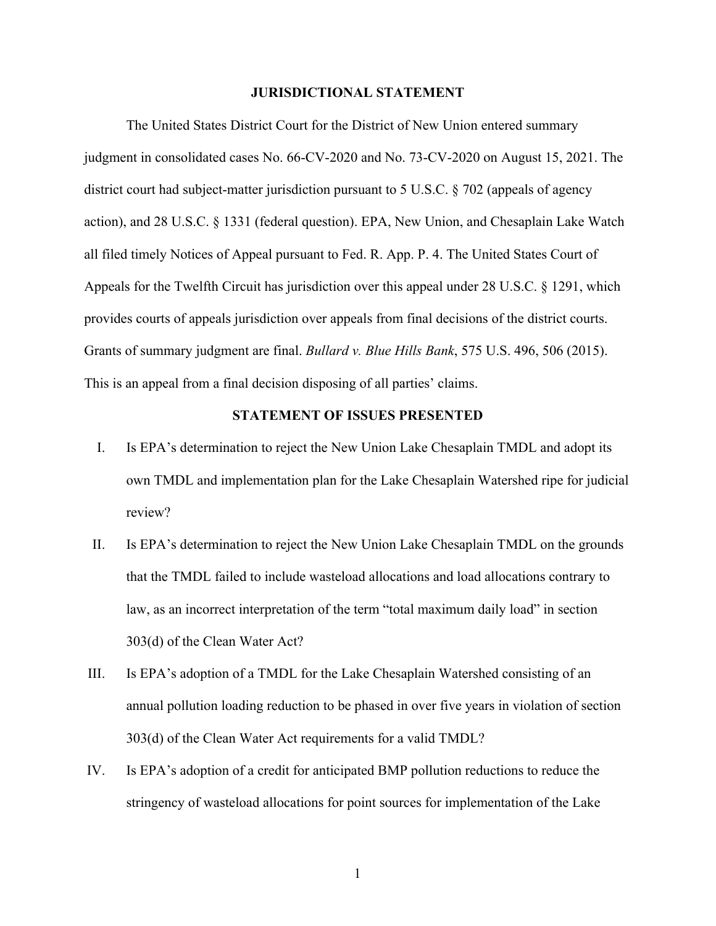### **JURISDICTIONAL STATEMENT**

The United States District Court for the District of New Union entered summary judgment in consolidated cases No. 66-CV-2020 and No. 73-CV-2020 on August 15, 2021. The district court had subject-matter jurisdiction pursuant to 5 U.S.C. § 702 (appeals of agency action), and 28 U.S.C. § 1331 (federal question). EPA, New Union, and Chesaplain Lake Watch all filed timely Notices of Appeal pursuant to Fed. R. App. P. 4. The United States Court of Appeals for the Twelfth Circuit has jurisdiction over this appeal under 28 U.S.C. § 1291, which provides courts of appeals jurisdiction over appeals from final decisions of the district courts. Grants of summary judgment are final. *Bullard v. Blue Hills Bank*, 575 U.S. 496, 506 (2015). This is an appeal from a final decision disposing of all parties' claims.

## **STATEMENT OF ISSUES PRESENTED**

- I. Is EPA's determination to reject the New Union Lake Chesaplain TMDL and adopt its own TMDL and implementation plan for the Lake Chesaplain Watershed ripe for judicial review?
- II. Is EPA's determination to reject the New Union Lake Chesaplain TMDL on the grounds that the TMDL failed to include wasteload allocations and load allocations contrary to law, as an incorrect interpretation of the term "total maximum daily load" in section 303(d) of the Clean Water Act?
- III. Is EPA's adoption of a TMDL for the Lake Chesaplain Watershed consisting of an annual pollution loading reduction to be phased in over five years in violation of section 303(d) of the Clean Water Act requirements for a valid TMDL?
- IV. Is EPA's adoption of a credit for anticipated BMP pollution reductions to reduce the stringency of wasteload allocations for point sources for implementation of the Lake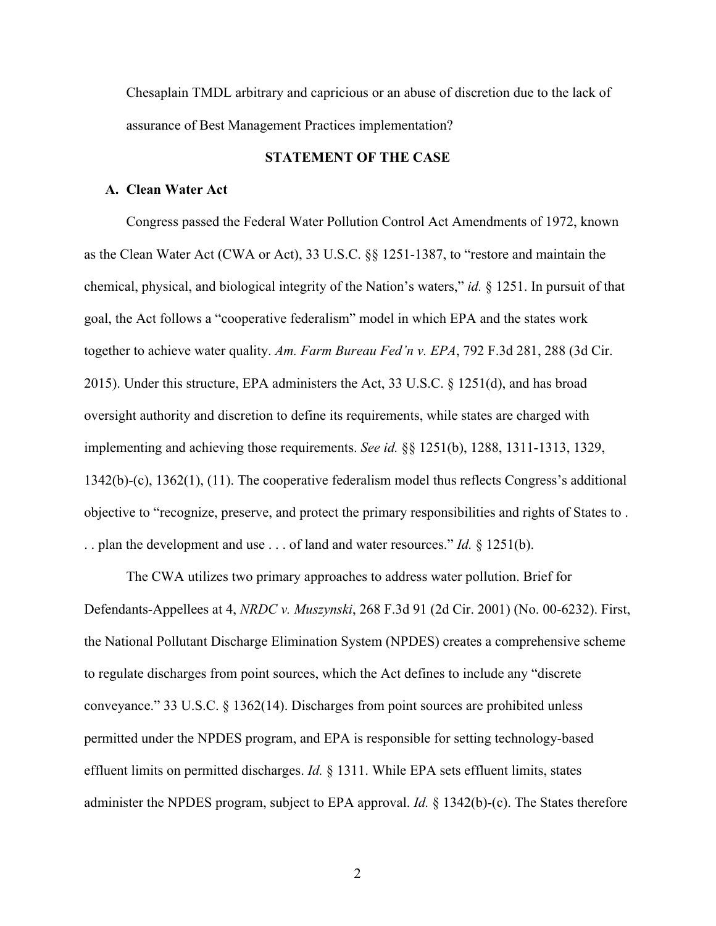Chesaplain TMDL arbitrary and capricious or an abuse of discretion due to the lack of assurance of Best Management Practices implementation?

## **STATEMENT OF THE CASE**

### **A. Clean Water Act**

 Congress passed the Federal Water Pollution Control Act Amendments of 1972, known as the Clean Water Act (CWA or Act), 33 U.S.C. §§ 1251-1387, to "restore and maintain the chemical, physical, and biological integrity of the Nation's waters," *id.* § 1251. In pursuit of that goal, the Act follows a "cooperative federalism" model in which EPA and the states work together to achieve water quality. *Am. Farm Bureau Fed'n v. EPA*, 792 F.3d 281, 288 (3d Cir. 2015). Under this structure, EPA administers the Act, 33 U.S.C. § 1251(d), and has broad oversight authority and discretion to define its requirements, while states are charged with implementing and achieving those requirements. *See id.* §§ 1251(b), 1288, 1311-1313, 1329, 1342(b)-(c), 1362(1), (11). The cooperative federalism model thus reflects Congress's additional objective to "recognize, preserve, and protect the primary responsibilities and rights of States to . . . plan the development and use . . . of land and water resources." *Id.* § 1251(b).

 The CWA utilizes two primary approaches to address water pollution. Brief for Defendants-Appellees at 4, *NRDC v. Muszynski*, 268 F.3d 91 (2d Cir. 2001) (No. 00-6232). First, the National Pollutant Discharge Elimination System (NPDES) creates a comprehensive scheme to regulate discharges from point sources, which the Act defines to include any "discrete conveyance." 33 U.S.C. § 1362(14). Discharges from point sources are prohibited unless permitted under the NPDES program, and EPA is responsible for setting technology-based effluent limits on permitted discharges. *Id.* § 1311. While EPA sets effluent limits, states administer the NPDES program, subject to EPA approval. *Id.* § 1342(b)-(c). The States therefore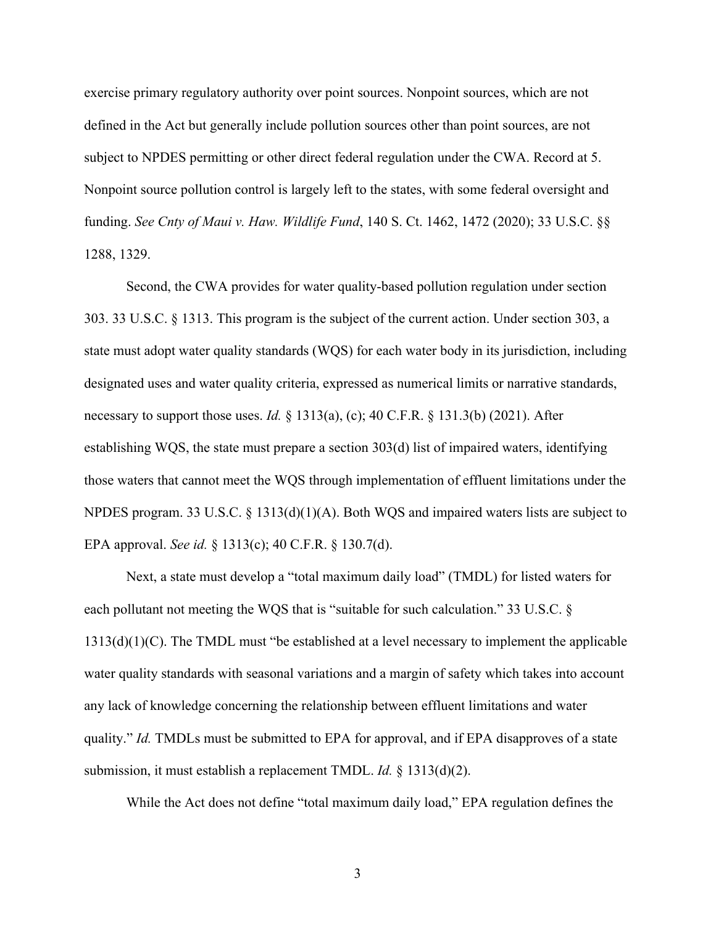exercise primary regulatory authority over point sources. Nonpoint sources, which are not defined in the Act but generally include pollution sources other than point sources, are not subject to NPDES permitting or other direct federal regulation under the CWA. Record at 5. Nonpoint source pollution control is largely left to the states, with some federal oversight and funding. *See Cnty of Maui v. Haw. Wildlife Fund*, 140 S. Ct. 1462, 1472 (2020); 33 U.S.C. §§ 1288, 1329.

 Second, the CWA provides for water quality-based pollution regulation under section 303. 33 U.S.C. § 1313. This program is the subject of the current action. Under section 303, a state must adopt water quality standards (WQS) for each water body in its jurisdiction, including designated uses and water quality criteria, expressed as numerical limits or narrative standards, necessary to support those uses. *Id.* § 1313(a), (c); 40 C.F.R. § 131.3(b) (2021). After establishing WQS, the state must prepare a section 303(d) list of impaired waters, identifying those waters that cannot meet the WQS through implementation of effluent limitations under the NPDES program. 33 U.S.C. § 1313(d)(1)(A). Both WQS and impaired waters lists are subject to EPA approval. *See id.* § 1313(c); 40 C.F.R. § 130.7(d).

Next, a state must develop a "total maximum daily load" (TMDL) for listed waters for each pollutant not meeting the WQS that is "suitable for such calculation." 33 U.S.C. § 1313(d)(1)(C). The TMDL must "be established at a level necessary to implement the applicable water quality standards with seasonal variations and a margin of safety which takes into account any lack of knowledge concerning the relationship between effluent limitations and water quality." *Id.* TMDLs must be submitted to EPA for approval, and if EPA disapproves of a state submission, it must establish a replacement TMDL. *Id.* § 1313(d)(2).

While the Act does not define "total maximum daily load," EPA regulation defines the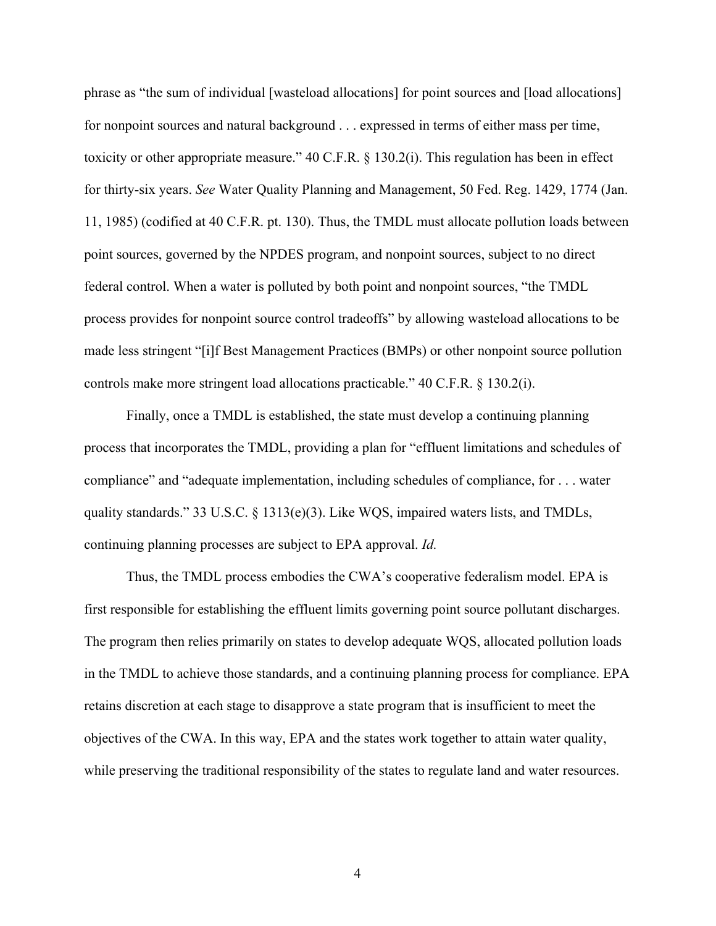phrase as "the sum of individual [wasteload allocations] for point sources and [load allocations] for nonpoint sources and natural background . . . expressed in terms of either mass per time, toxicity or other appropriate measure." 40 C.F.R. § 130.2(i). This regulation has been in effect for thirty-six years. *See* Water Quality Planning and Management, 50 Fed. Reg. 1429, 1774 (Jan. 11, 1985) (codified at 40 C.F.R. pt. 130). Thus, the TMDL must allocate pollution loads between point sources, governed by the NPDES program, and nonpoint sources, subject to no direct federal control. When a water is polluted by both point and nonpoint sources, "the TMDL process provides for nonpoint source control tradeoffs" by allowing wasteload allocations to be made less stringent "[i]f Best Management Practices (BMPs) or other nonpoint source pollution controls make more stringent load allocations practicable." 40 C.F.R. § 130.2(i).

Finally, once a TMDL is established, the state must develop a continuing planning process that incorporates the TMDL, providing a plan for "effluent limitations and schedules of compliance" and "adequate implementation, including schedules of compliance, for . . . water quality standards." 33 U.S.C. § 1313(e)(3). Like WQS, impaired waters lists, and TMDLs, continuing planning processes are subject to EPA approval. *Id.*

Thus, the TMDL process embodies the CWA's cooperative federalism model. EPA is first responsible for establishing the effluent limits governing point source pollutant discharges. The program then relies primarily on states to develop adequate WQS, allocated pollution loads in the TMDL to achieve those standards, and a continuing planning process for compliance. EPA retains discretion at each stage to disapprove a state program that is insufficient to meet the objectives of the CWA. In this way, EPA and the states work together to attain water quality, while preserving the traditional responsibility of the states to regulate land and water resources.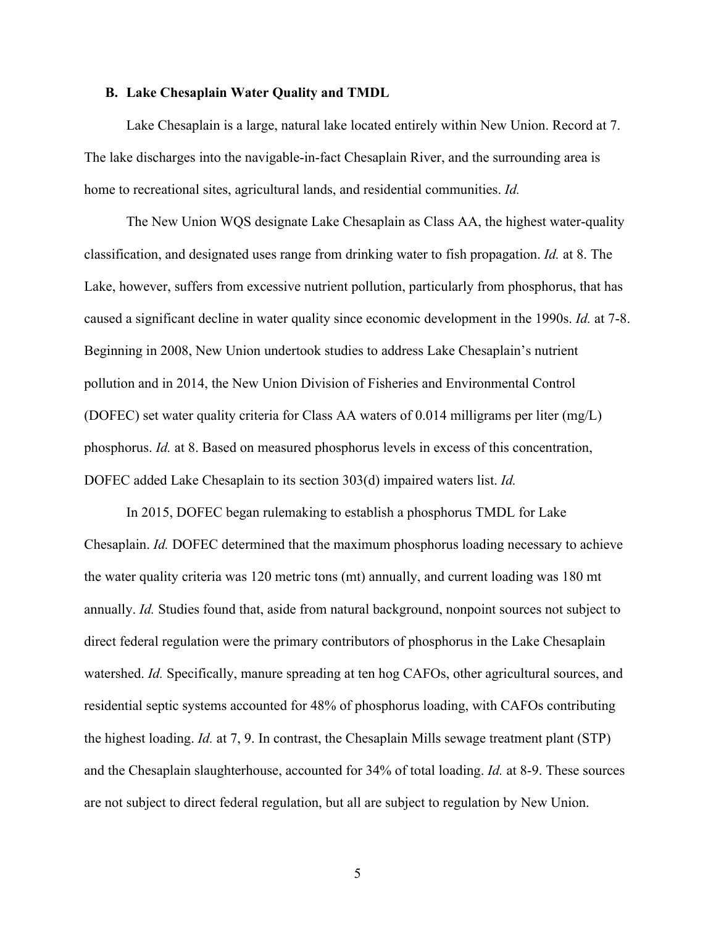#### **B. Lake Chesaplain Water Quality and TMDL**

Lake Chesaplain is a large, natural lake located entirely within New Union. Record at 7. The lake discharges into the navigable-in-fact Chesaplain River, and the surrounding area is home to recreational sites, agricultural lands, and residential communities. *Id.*

The New Union WQS designate Lake Chesaplain as Class AA, the highest water-quality classification, and designated uses range from drinking water to fish propagation. *Id.* at 8. The Lake, however, suffers from excessive nutrient pollution, particularly from phosphorus, that has caused a significant decline in water quality since economic development in the 1990s. *Id.* at 7-8. Beginning in 2008, New Union undertook studies to address Lake Chesaplain's nutrient pollution and in 2014, the New Union Division of Fisheries and Environmental Control (DOFEC) set water quality criteria for Class AA waters of 0.014 milligrams per liter (mg/L) phosphorus. *Id.* at 8. Based on measured phosphorus levels in excess of this concentration, DOFEC added Lake Chesaplain to its section 303(d) impaired waters list. *Id.*

In 2015, DOFEC began rulemaking to establish a phosphorus TMDL for Lake Chesaplain. *Id.* DOFEC determined that the maximum phosphorus loading necessary to achieve the water quality criteria was 120 metric tons (mt) annually, and current loading was 180 mt annually. *Id.* Studies found that, aside from natural background, nonpoint sources not subject to direct federal regulation were the primary contributors of phosphorus in the Lake Chesaplain watershed. *Id.* Specifically, manure spreading at ten hog CAFOs, other agricultural sources, and residential septic systems accounted for 48% of phosphorus loading, with CAFOs contributing the highest loading. *Id.* at 7, 9. In contrast, the Chesaplain Mills sewage treatment plant (STP) and the Chesaplain slaughterhouse, accounted for 34% of total loading. *Id.* at 8-9. These sources are not subject to direct federal regulation, but all are subject to regulation by New Union.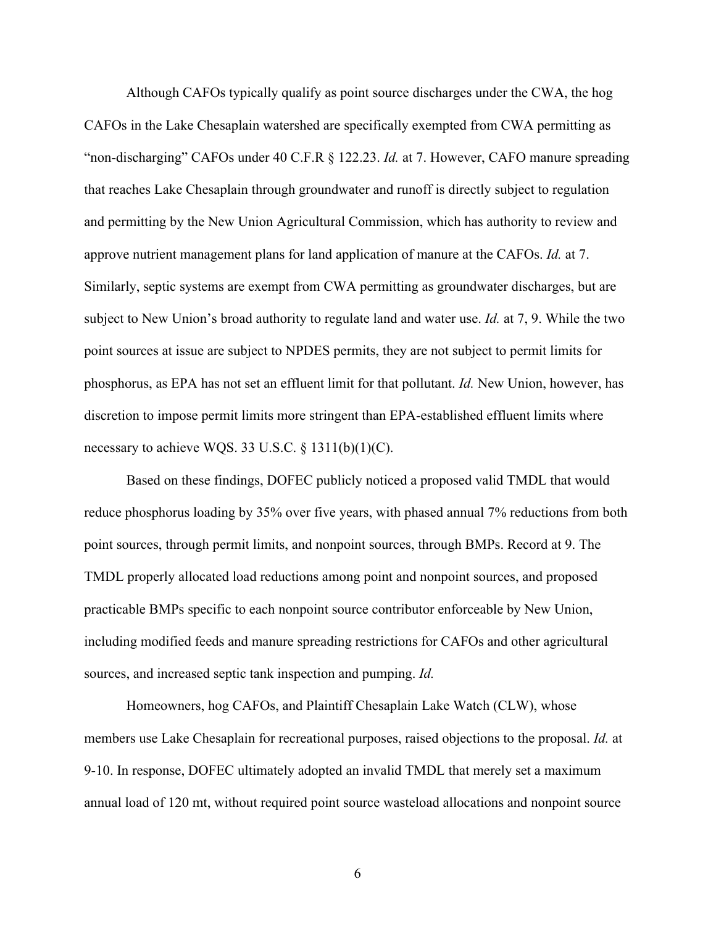Although CAFOs typically qualify as point source discharges under the CWA, the hog CAFOs in the Lake Chesaplain watershed are specifically exempted from CWA permitting as "non-discharging" CAFOs under 40 C.F.R § 122.23. *Id.* at 7. However, CAFO manure spreading that reaches Lake Chesaplain through groundwater and runoff is directly subject to regulation and permitting by the New Union Agricultural Commission, which has authority to review and approve nutrient management plans for land application of manure at the CAFOs. *Id.* at 7. Similarly, septic systems are exempt from CWA permitting as groundwater discharges, but are subject to New Union's broad authority to regulate land and water use. *Id.* at 7, 9. While the two point sources at issue are subject to NPDES permits, they are not subject to permit limits for phosphorus, as EPA has not set an effluent limit for that pollutant. *Id.* New Union, however, has discretion to impose permit limits more stringent than EPA-established effluent limits where necessary to achieve WQS. 33 U.S.C.  $\S$  1311(b)(1)(C).

Based on these findings, DOFEC publicly noticed a proposed valid TMDL that would reduce phosphorus loading by 35% over five years, with phased annual 7% reductions from both point sources, through permit limits, and nonpoint sources, through BMPs. Record at 9. The TMDL properly allocated load reductions among point and nonpoint sources, and proposed practicable BMPs specific to each nonpoint source contributor enforceable by New Union, including modified feeds and manure spreading restrictions for CAFOs and other agricultural sources, and increased septic tank inspection and pumping. *Id.*

Homeowners, hog CAFOs, and Plaintiff Chesaplain Lake Watch (CLW), whose members use Lake Chesaplain for recreational purposes, raised objections to the proposal. *Id.* at 9-10. In response, DOFEC ultimately adopted an invalid TMDL that merely set a maximum annual load of 120 mt, without required point source wasteload allocations and nonpoint source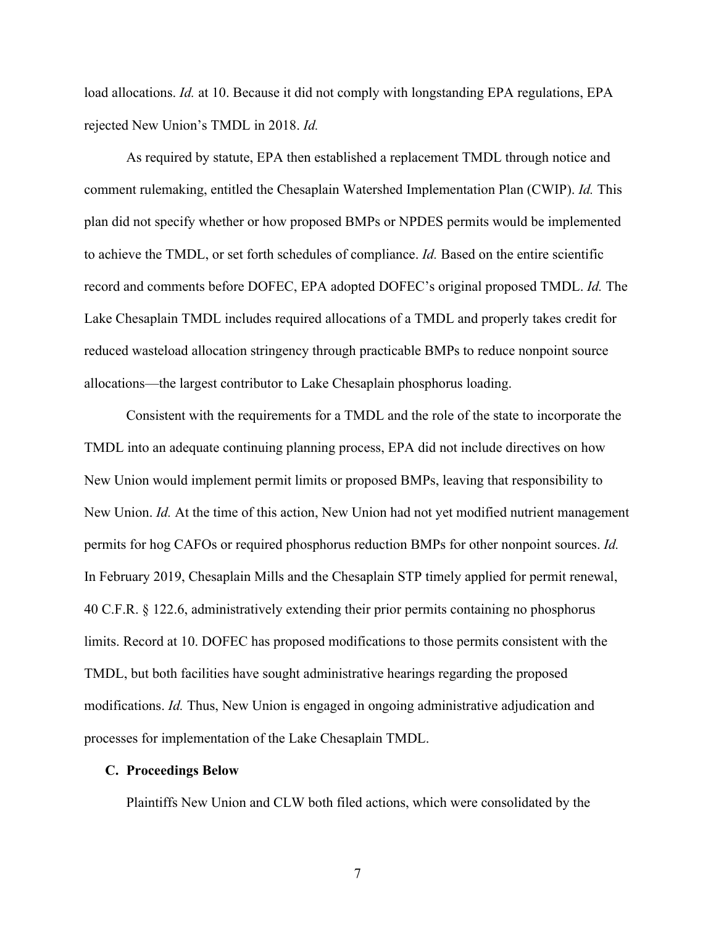load allocations. *Id.* at 10. Because it did not comply with longstanding EPA regulations, EPA rejected New Union's TMDL in 2018. *Id.*

As required by statute, EPA then established a replacement TMDL through notice and comment rulemaking, entitled the Chesaplain Watershed Implementation Plan (CWIP). *Id.* This plan did not specify whether or how proposed BMPs or NPDES permits would be implemented to achieve the TMDL, or set forth schedules of compliance. *Id.* Based on the entire scientific record and comments before DOFEC, EPA adopted DOFEC's original proposed TMDL. *Id.* The Lake Chesaplain TMDL includes required allocations of a TMDL and properly takes credit for reduced wasteload allocation stringency through practicable BMPs to reduce nonpoint source allocations—the largest contributor to Lake Chesaplain phosphorus loading.

Consistent with the requirements for a TMDL and the role of the state to incorporate the TMDL into an adequate continuing planning process, EPA did not include directives on how New Union would implement permit limits or proposed BMPs, leaving that responsibility to New Union. *Id.* At the time of this action, New Union had not yet modified nutrient management permits for hog CAFOs or required phosphorus reduction BMPs for other nonpoint sources. *Id.* In February 2019, Chesaplain Mills and the Chesaplain STP timely applied for permit renewal, 40 C.F.R. § 122.6, administratively extending their prior permits containing no phosphorus limits. Record at 10. DOFEC has proposed modifications to those permits consistent with the TMDL, but both facilities have sought administrative hearings regarding the proposed modifications. *Id.* Thus, New Union is engaged in ongoing administrative adjudication and processes for implementation of the Lake Chesaplain TMDL.

## **C. Proceedings Below**

Plaintiffs New Union and CLW both filed actions, which were consolidated by the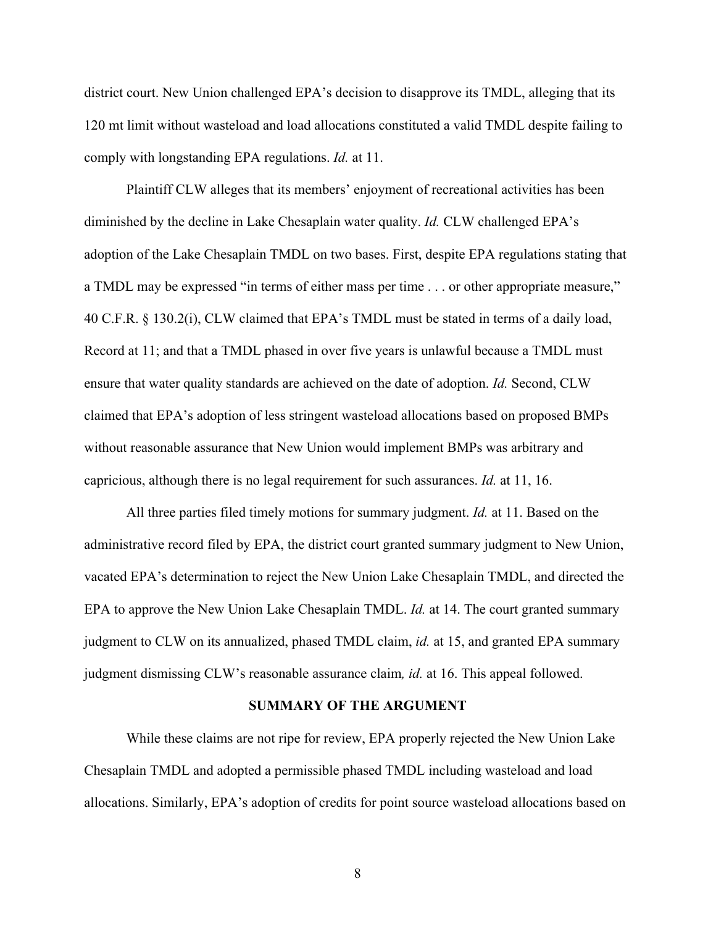district court. New Union challenged EPA's decision to disapprove its TMDL, alleging that its 120 mt limit without wasteload and load allocations constituted a valid TMDL despite failing to comply with longstanding EPA regulations. *Id.* at 11.

Plaintiff CLW alleges that its members' enjoyment of recreational activities has been diminished by the decline in Lake Chesaplain water quality. *Id.* CLW challenged EPA's adoption of the Lake Chesaplain TMDL on two bases. First, despite EPA regulations stating that a TMDL may be expressed "in terms of either mass per time . . . or other appropriate measure," 40 C.F.R. § 130.2(i), CLW claimed that EPA's TMDL must be stated in terms of a daily load, Record at 11; and that a TMDL phased in over five years is unlawful because a TMDL must ensure that water quality standards are achieved on the date of adoption. *Id.* Second, CLW claimed that EPA's adoption of less stringent wasteload allocations based on proposed BMPs without reasonable assurance that New Union would implement BMPs was arbitrary and capricious, although there is no legal requirement for such assurances. *Id.* at 11, 16.

All three parties filed timely motions for summary judgment. *Id.* at 11. Based on the administrative record filed by EPA, the district court granted summary judgment to New Union, vacated EPA's determination to reject the New Union Lake Chesaplain TMDL, and directed the EPA to approve the New Union Lake Chesaplain TMDL. *Id.* at 14. The court granted summary judgment to CLW on its annualized, phased TMDL claim, *id.* at 15, and granted EPA summary judgment dismissing CLW's reasonable assurance claim*, id.* at 16. This appeal followed.

#### **SUMMARY OF THE ARGUMENT**

While these claims are not ripe for review, EPA properly rejected the New Union Lake Chesaplain TMDL and adopted a permissible phased TMDL including wasteload and load allocations. Similarly, EPA's adoption of credits for point source wasteload allocations based on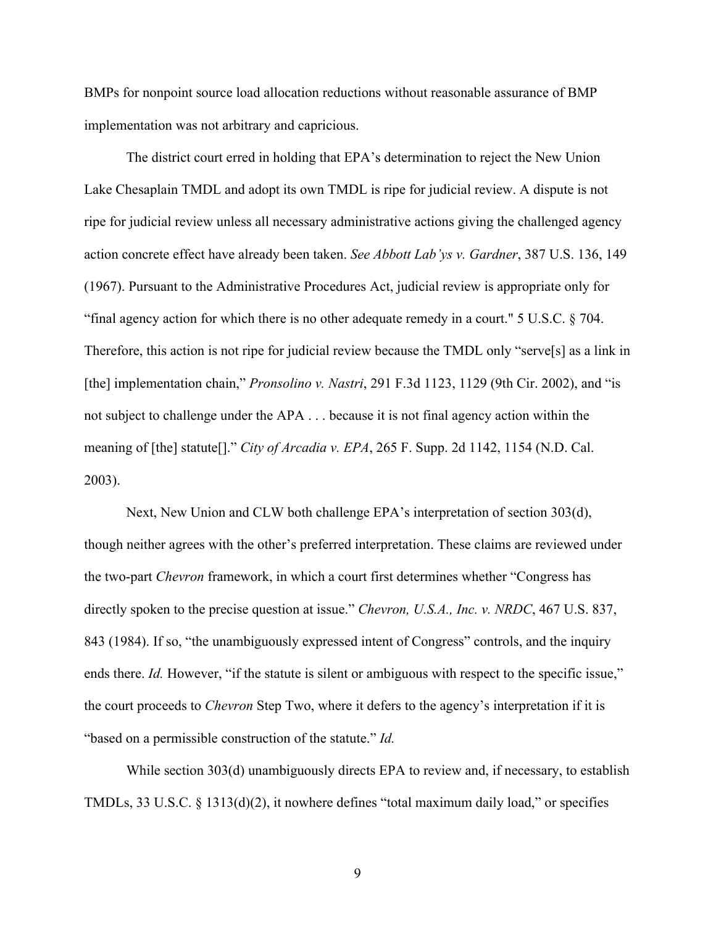BMPs for nonpoint source load allocation reductions without reasonable assurance of BMP implementation was not arbitrary and capricious.

The district court erred in holding that EPA's determination to reject the New Union Lake Chesaplain TMDL and adopt its own TMDL is ripe for judicial review. A dispute is not ripe for judicial review unless all necessary administrative actions giving the challenged agency action concrete effect have already been taken. *See Abbott Lab'ys v. Gardner*, 387 U.S. 136, 149 (1967). Pursuant to the Administrative Procedures Act, judicial review is appropriate only for "final agency action for which there is no other adequate remedy in a court." 5 U.S.C. § 704. Therefore, this action is not ripe for judicial review because the TMDL only "serve[s] as a link in [the] implementation chain," *Pronsolino v. Nastri*, 291 F.3d 1123, 1129 (9th Cir. 2002), and "is not subject to challenge under the APA . . . because it is not final agency action within the meaning of [the] statute[]." *City of Arcadia v. EPA*, 265 F. Supp. 2d 1142, 1154 (N.D. Cal. 2003).

Next, New Union and CLW both challenge EPA's interpretation of section 303(d), though neither agrees with the other's preferred interpretation. These claims are reviewed under the two-part *Chevron* framework, in which a court first determines whether "Congress has directly spoken to the precise question at issue." *Chevron, U.S.A., Inc. v. NRDC*, 467 U.S. 837, 843 (1984). If so, "the unambiguously expressed intent of Congress" controls, and the inquiry ends there. *Id.* However, "if the statute is silent or ambiguous with respect to the specific issue," the court proceeds to *Chevron* Step Two, where it defers to the agency's interpretation if it is "based on a permissible construction of the statute." *Id.* 

While section 303(d) unambiguously directs EPA to review and, if necessary, to establish TMDLs, 33 U.S.C. § 1313(d)(2), it nowhere defines "total maximum daily load," or specifies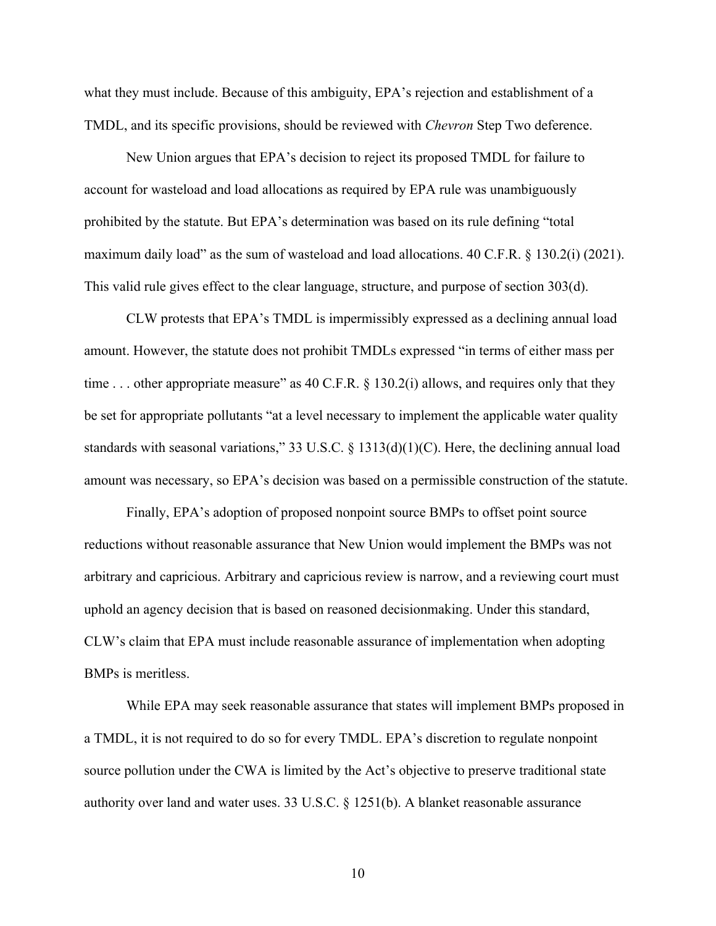what they must include. Because of this ambiguity, EPA's rejection and establishment of a TMDL, and its specific provisions, should be reviewed with *Chevron* Step Two deference.

New Union argues that EPA's decision to reject its proposed TMDL for failure to account for wasteload and load allocations as required by EPA rule was unambiguously prohibited by the statute. But EPA's determination was based on its rule defining "total maximum daily load" as the sum of wasteload and load allocations. 40 C.F.R. § 130.2(i) (2021). This valid rule gives effect to the clear language, structure, and purpose of section 303(d).

CLW protests that EPA's TMDL is impermissibly expressed as a declining annual load amount. However, the statute does not prohibit TMDLs expressed "in terms of either mass per time ... other appropriate measure" as 40 C.F.R.  $\S$  130.2(i) allows, and requires only that they be set for appropriate pollutants "at a level necessary to implement the applicable water quality standards with seasonal variations," 33 U.S.C. § 1313(d)(1)(C). Here, the declining annual load amount was necessary, so EPA's decision was based on a permissible construction of the statute.

Finally, EPA's adoption of proposed nonpoint source BMPs to offset point source reductions without reasonable assurance that New Union would implement the BMPs was not arbitrary and capricious. Arbitrary and capricious review is narrow, and a reviewing court must uphold an agency decision that is based on reasoned decisionmaking. Under this standard, CLW's claim that EPA must include reasonable assurance of implementation when adopting BMPs is meritless.

While EPA may seek reasonable assurance that states will implement BMPs proposed in a TMDL, it is not required to do so for every TMDL. EPA's discretion to regulate nonpoint source pollution under the CWA is limited by the Act's objective to preserve traditional state authority over land and water uses. 33 U.S.C. § 1251(b). A blanket reasonable assurance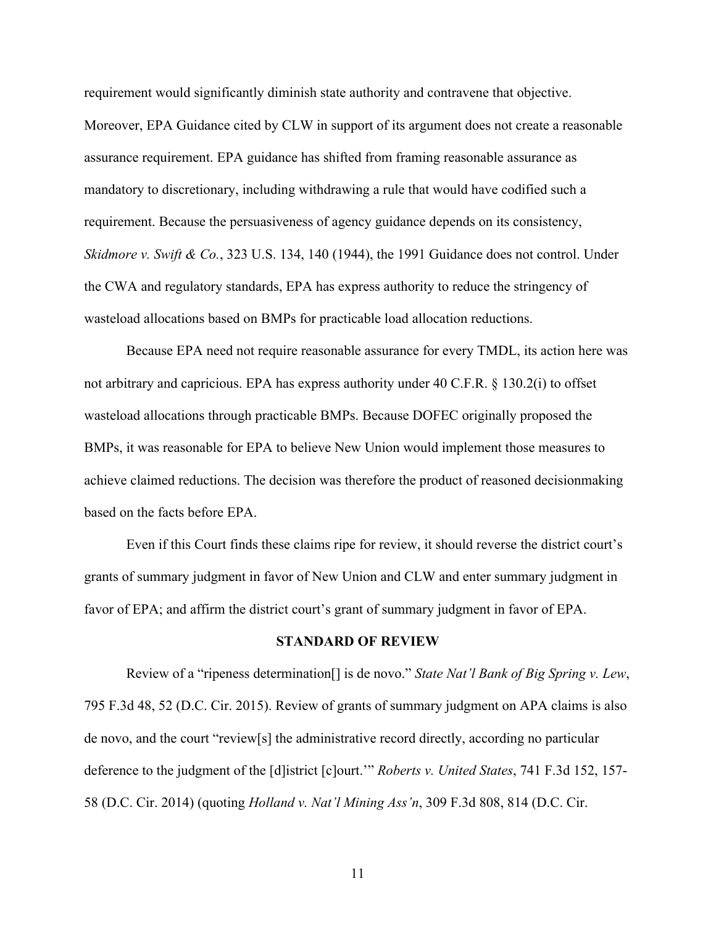requirement would significantly diminish state authority and contravene that objective.

Moreover, EPA Guidance cited by CLW in support of its argument does not create a reasonable assurance requirement. EPA guidance has shifted from framing reasonable assurance as mandatory to discretionary, including withdrawing a rule that would have codified such a requirement. Because the persuasiveness of agency guidance depends on its consistency, *Skidmore v. Swift & Co.*, 323 U.S. 134, 140 (1944), the 1991 Guidance does not control. Under the CWA and regulatory standards, EPA has express authority to reduce the stringency of wasteload allocations based on BMPs for practicable load allocation reductions.

Because EPA need not require reasonable assurance for every TMDL, its action here was not arbitrary and capricious. EPA has express authority under 40 C.F.R. § 130.2(i) to offset wasteload allocations through practicable BMPs. Because DOFEC originally proposed the BMPs, it was reasonable for EPA to believe New Union would implement those measures to achieve claimed reductions. The decision was therefore the product of reasoned decisionmaking based on the facts before EPA.

Even if this Court finds these claims ripe for review, it should reverse the district court's grants of summary judgment in favor of New Union and CLW and enter summary judgment in favor of EPA; and affirm the district court's grant of summary judgment in favor of EPA.

## **STANDARD OF REVIEW**

Review of a "ripeness determination[] is de novo." *State Nat'l Bank of Big Spring v. Lew*, 795 F.3d 48, 52 (D.C. Cir. 2015). Review of grants of summary judgment on APA claims is also de novo, and the court "review[s] the administrative record directly, according no particular deference to the judgment of the [d]istrict [c]ourt.'" *Roberts v. United States*, 741 F.3d 152, 157- 58 (D.C. Cir. 2014) (quoting *Holland v. Nat'l Mining Ass'n*, 309 F.3d 808, 814 (D.C. Cir.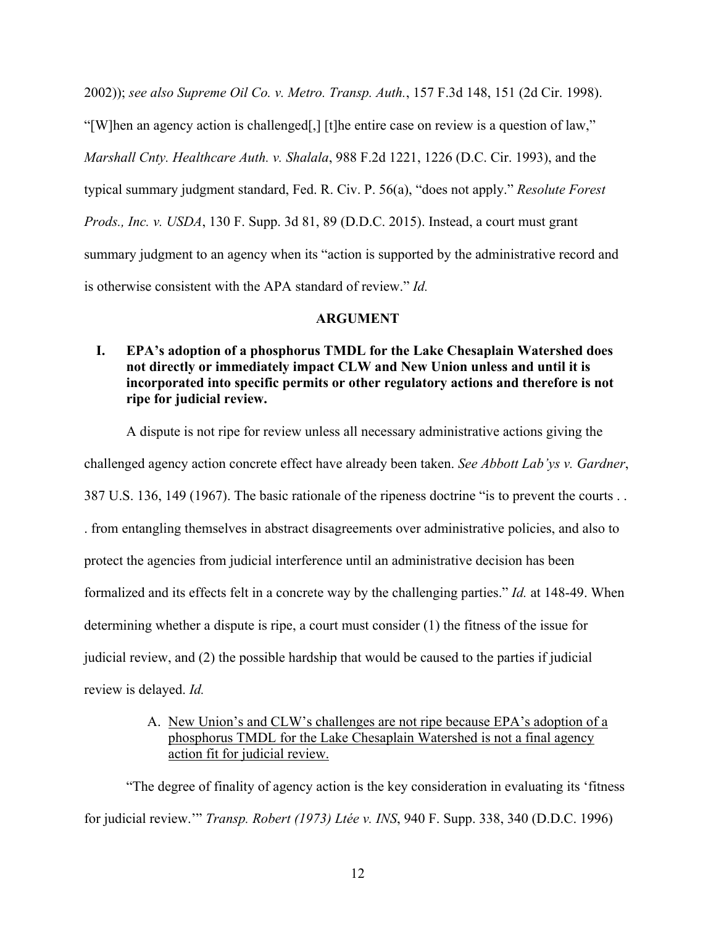2002)); *see also Supreme Oil Co. v. Metro. Transp. Auth.*, 157 F.3d 148, 151 (2d Cir. 1998). "[W]hen an agency action is challenged[,] [t]he entire case on review is a question of law," *Marshall Cnty. Healthcare Auth. v. Shalala*, 988 F.2d 1221, 1226 (D.C. Cir. 1993), and the typical summary judgment standard, Fed. R. Civ. P. 56(a), "does not apply." *Resolute Forest Prods., Inc. v. USDA*, 130 F. Supp. 3d 81, 89 (D.D.C. 2015). Instead, a court must grant summary judgment to an agency when its "action is supported by the administrative record and is otherwise consistent with the APA standard of review." *Id.*

## **ARGUMENT**

**I. EPA's adoption of a phosphorus TMDL for the Lake Chesaplain Watershed does not directly or immediately impact CLW and New Union unless and until it is incorporated into specific permits or other regulatory actions and therefore is not ripe for judicial review.**

A dispute is not ripe for review unless all necessary administrative actions giving the challenged agency action concrete effect have already been taken. *See Abbott Lab'ys v. Gardner*, 387 U.S. 136, 149 (1967). The basic rationale of the ripeness doctrine "is to prevent the courts . . . from entangling themselves in abstract disagreements over administrative policies, and also to protect the agencies from judicial interference until an administrative decision has been formalized and its effects felt in a concrete way by the challenging parties." *Id.* at 148-49. When determining whether a dispute is ripe, a court must consider (1) the fitness of the issue for judicial review, and (2) the possible hardship that would be caused to the parties if judicial

review is delayed. *Id.*

A. New Union's and CLW's challenges are not ripe because EPA's adoption of a phosphorus TMDL for the Lake Chesaplain Watershed is not a final agency action fit for judicial review.

"The degree of finality of agency action is the key consideration in evaluating its 'fitness for judicial review.'" *Transp. Robert (1973) Ltée v. INS*, 940 F. Supp. 338, 340 (D.D.C. 1996)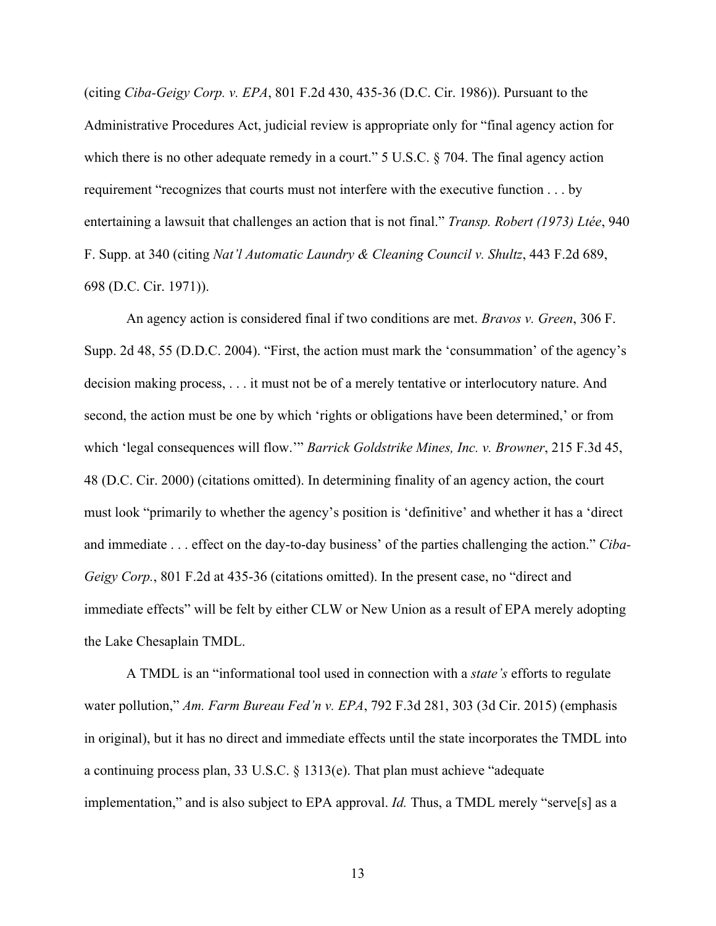(citing *Ciba-Geigy Corp. v. EPA*, 801 F.2d 430, 435-36 (D.C. Cir. 1986)). Pursuant to the Administrative Procedures Act, judicial review is appropriate only for "final agency action for which there is no other adequate remedy in a court." 5 U.S.C. § 704. The final agency action requirement "recognizes that courts must not interfere with the executive function . . . by entertaining a lawsuit that challenges an action that is not final." *Transp. Robert (1973) Ltée*, 940 F. Supp. at 340 (citing *Nat'l Automatic Laundry & Cleaning Council v. Shultz*, 443 F.2d 689, 698 (D.C. Cir. 1971)).

An agency action is considered final if two conditions are met. *Bravos v. Green*, 306 F. Supp. 2d 48, 55 (D.D.C. 2004). "First, the action must mark the 'consummation' of the agency's decision making process, . . . it must not be of a merely tentative or interlocutory nature. And second, the action must be one by which 'rights or obligations have been determined,' or from which 'legal consequences will flow.'" *Barrick Goldstrike Mines, Inc. v. Browner*, 215 F.3d 45, 48 (D.C. Cir. 2000) (citations omitted). In determining finality of an agency action, the court must look "primarily to whether the agency's position is 'definitive' and whether it has a 'direct and immediate . . . effect on the day-to-day business' of the parties challenging the action." *Ciba-Geigy Corp.*, 801 F.2d at 435-36 (citations omitted). In the present case, no "direct and immediate effects" will be felt by either CLW or New Union as a result of EPA merely adopting the Lake Chesaplain TMDL.

A TMDL is an "informational tool used in connection with a *state's* efforts to regulate water pollution," *Am. Farm Bureau Fed'n v. EPA*, 792 F.3d 281, 303 (3d Cir. 2015) (emphasis in original), but it has no direct and immediate effects until the state incorporates the TMDL into a continuing process plan, 33 U.S.C. § 1313(e). That plan must achieve "adequate implementation," and is also subject to EPA approval. *Id.* Thus, a TMDL merely "serve[s] as a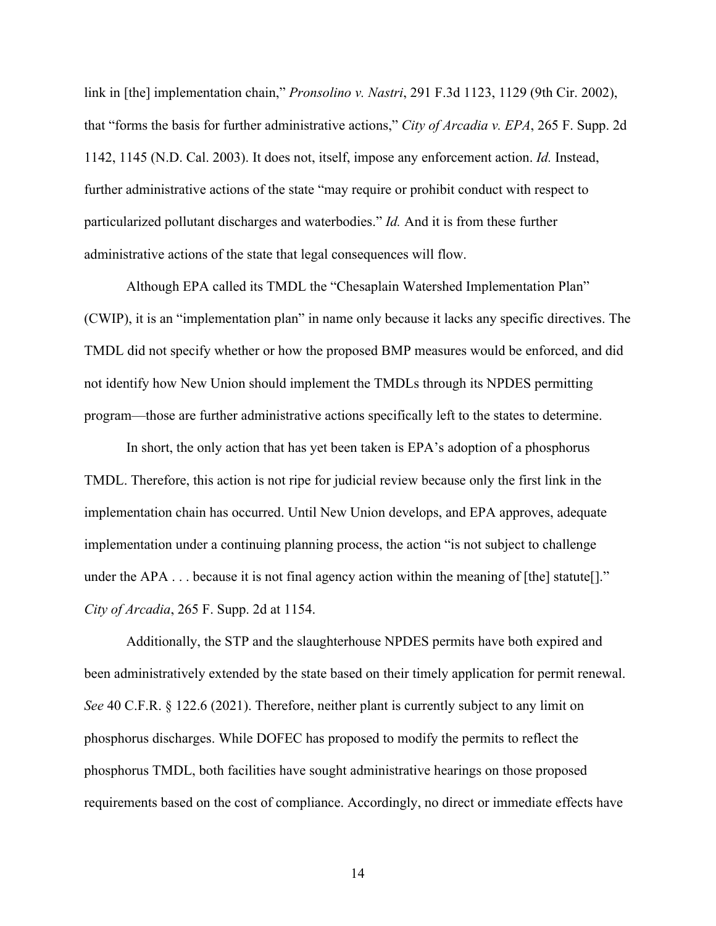link in [the] implementation chain," *Pronsolino v. Nastri*, 291 F.3d 1123, 1129 (9th Cir. 2002), that "forms the basis for further administrative actions," *City of Arcadia v. EPA*, 265 F. Supp. 2d 1142, 1145 (N.D. Cal. 2003). It does not, itself, impose any enforcement action. *Id.* Instead, further administrative actions of the state "may require or prohibit conduct with respect to particularized pollutant discharges and waterbodies." *Id.* And it is from these further administrative actions of the state that legal consequences will flow.

Although EPA called its TMDL the "Chesaplain Watershed Implementation Plan" (CWIP), it is an "implementation plan" in name only because it lacks any specific directives. The TMDL did not specify whether or how the proposed BMP measures would be enforced, and did not identify how New Union should implement the TMDLs through its NPDES permitting program—those are further administrative actions specifically left to the states to determine.

In short, the only action that has yet been taken is EPA's adoption of a phosphorus TMDL. Therefore, this action is not ripe for judicial review because only the first link in the implementation chain has occurred. Until New Union develops, and EPA approves, adequate implementation under a continuing planning process, the action "is not subject to challenge under the APA  $\dots$  because it is not final agency action within the meaning of [the] statute[]." *City of Arcadia*, 265 F. Supp. 2d at 1154.

Additionally, the STP and the slaughterhouse NPDES permits have both expired and been administratively extended by the state based on their timely application for permit renewal. *See* 40 C.F.R. § 122.6 (2021). Therefore, neither plant is currently subject to any limit on phosphorus discharges. While DOFEC has proposed to modify the permits to reflect the phosphorus TMDL, both facilities have sought administrative hearings on those proposed requirements based on the cost of compliance. Accordingly, no direct or immediate effects have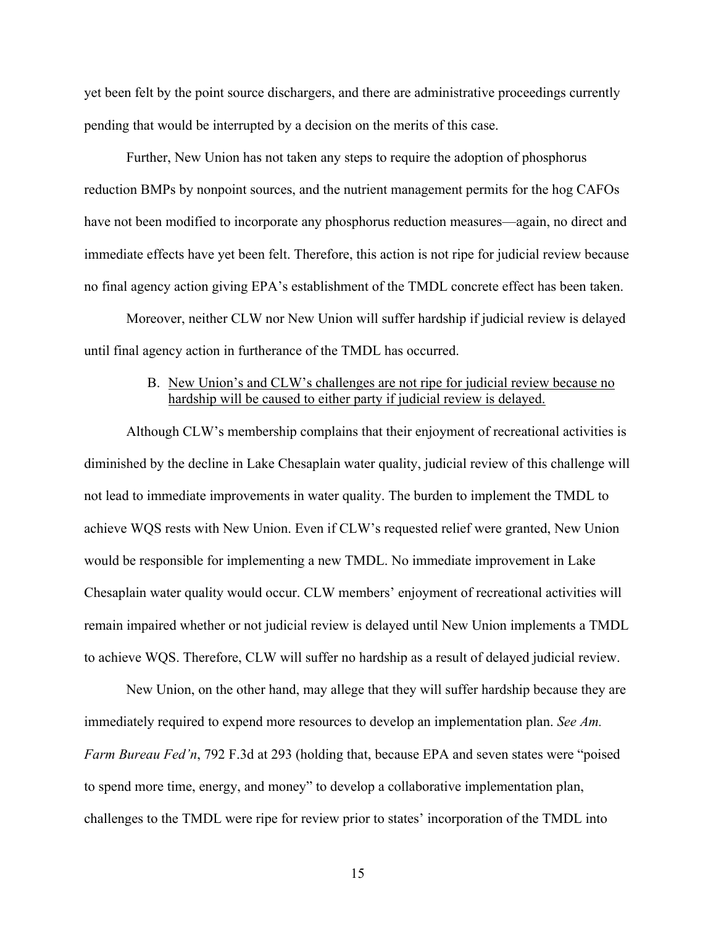yet been felt by the point source dischargers, and there are administrative proceedings currently pending that would be interrupted by a decision on the merits of this case.

Further, New Union has not taken any steps to require the adoption of phosphorus reduction BMPs by nonpoint sources, and the nutrient management permits for the hog CAFOs have not been modified to incorporate any phosphorus reduction measures—again, no direct and immediate effects have yet been felt. Therefore, this action is not ripe for judicial review because no final agency action giving EPA's establishment of the TMDL concrete effect has been taken.

Moreover, neither CLW nor New Union will suffer hardship if judicial review is delayed until final agency action in furtherance of the TMDL has occurred.

## B. New Union's and CLW's challenges are not ripe for judicial review because no hardship will be caused to either party if judicial review is delayed.

Although CLW's membership complains that their enjoyment of recreational activities is diminished by the decline in Lake Chesaplain water quality, judicial review of this challenge will not lead to immediate improvements in water quality. The burden to implement the TMDL to achieve WQS rests with New Union. Even if CLW's requested relief were granted, New Union would be responsible for implementing a new TMDL. No immediate improvement in Lake Chesaplain water quality would occur. CLW members' enjoyment of recreational activities will remain impaired whether or not judicial review is delayed until New Union implements a TMDL to achieve WQS. Therefore, CLW will suffer no hardship as a result of delayed judicial review.

New Union, on the other hand, may allege that they will suffer hardship because they are immediately required to expend more resources to develop an implementation plan. *See Am. Farm Bureau Fed'n*, 792 F.3d at 293 (holding that, because EPA and seven states were "poised to spend more time, energy, and money" to develop a collaborative implementation plan, challenges to the TMDL were ripe for review prior to states' incorporation of the TMDL into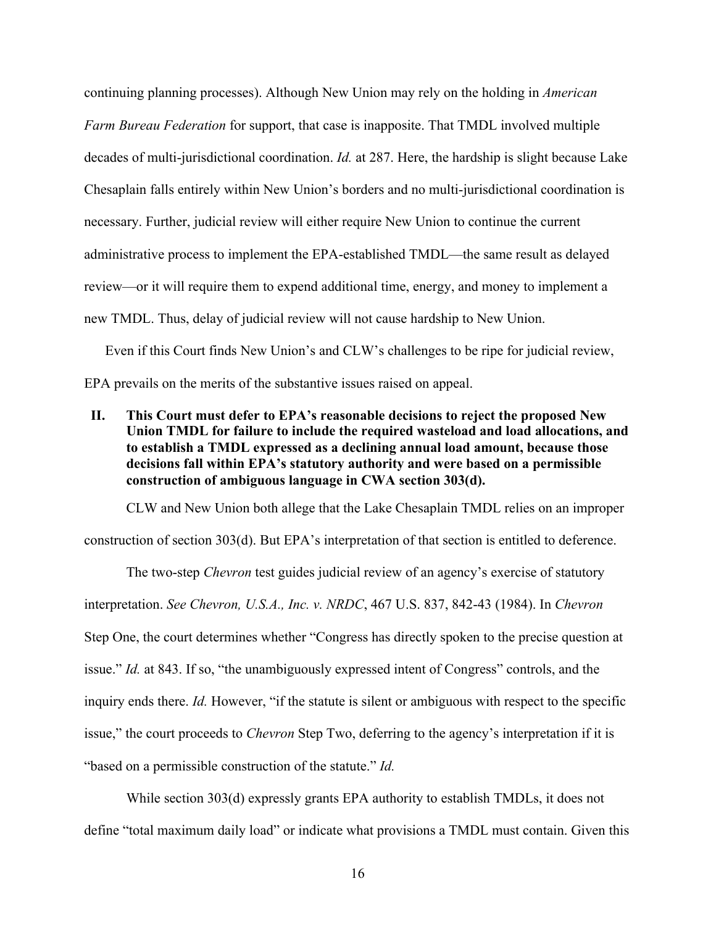continuing planning processes). Although New Union may rely on the holding in *American Farm Bureau Federation* for support, that case is inapposite. That TMDL involved multiple decades of multi-jurisdictional coordination. *Id.* at 287. Here, the hardship is slight because Lake Chesaplain falls entirely within New Union's borders and no multi-jurisdictional coordination is necessary. Further, judicial review will either require New Union to continue the current administrative process to implement the EPA-established TMDL—the same result as delayed review—or it will require them to expend additional time, energy, and money to implement a new TMDL. Thus, delay of judicial review will not cause hardship to New Union.

Even if this Court finds New Union's and CLW's challenges to be ripe for judicial review, EPA prevails on the merits of the substantive issues raised on appeal.

**II. This Court must defer to EPA's reasonable decisions to reject the proposed New Union TMDL for failure to include the required wasteload and load allocations, and to establish a TMDL expressed as a declining annual load amount, because those decisions fall within EPA's statutory authority and were based on a permissible construction of ambiguous language in CWA section 303(d).**

CLW and New Union both allege that the Lake Chesaplain TMDL relies on an improper

construction of section 303(d). But EPA's interpretation of that section is entitled to deference.

The two-step *Chevron* test guides judicial review of an agency's exercise of statutory interpretation. *See Chevron, U.S.A., Inc. v. NRDC*, 467 U.S. 837, 842-43 (1984). In *Chevron*  Step One, the court determines whether "Congress has directly spoken to the precise question at issue." *Id.* at 843. If so, "the unambiguously expressed intent of Congress" controls, and the inquiry ends there. *Id.* However, "if the statute is silent or ambiguous with respect to the specific issue," the court proceeds to *Chevron* Step Two, deferring to the agency's interpretation if it is "based on a permissible construction of the statute." *Id.* 

While section 303(d) expressly grants EPA authority to establish TMDLs, it does not define "total maximum daily load" or indicate what provisions a TMDL must contain. Given this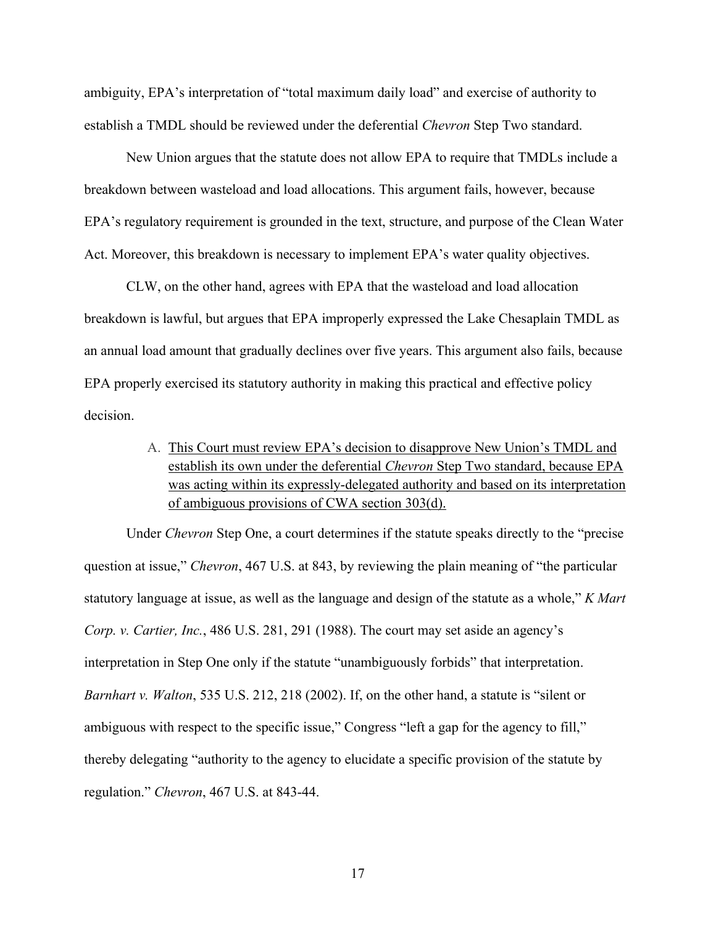ambiguity, EPA's interpretation of "total maximum daily load" and exercise of authority to establish a TMDL should be reviewed under the deferential *Chevron* Step Two standard.

New Union argues that the statute does not allow EPA to require that TMDLs include a breakdown between wasteload and load allocations. This argument fails, however, because EPA's regulatory requirement is grounded in the text, structure, and purpose of the Clean Water Act. Moreover, this breakdown is necessary to implement EPA's water quality objectives.

CLW, on the other hand, agrees with EPA that the wasteload and load allocation breakdown is lawful, but argues that EPA improperly expressed the Lake Chesaplain TMDL as an annual load amount that gradually declines over five years. This argument also fails, because EPA properly exercised its statutory authority in making this practical and effective policy decision.

> A. This Court must review EPA's decision to disapprove New Union's TMDL and establish its own under the deferential *Chevron* Step Two standard, because EPA was acting within its expressly-delegated authority and based on its interpretation of ambiguous provisions of CWA section 303(d).

Under *Chevron* Step One, a court determines if the statute speaks directly to the "precise question at issue," *Chevron*, 467 U.S. at 843, by reviewing the plain meaning of "the particular statutory language at issue, as well as the language and design of the statute as a whole," *K Mart Corp. v. Cartier, Inc.*, 486 U.S. 281, 291 (1988). The court may set aside an agency's interpretation in Step One only if the statute "unambiguously forbids" that interpretation. *Barnhart v. Walton*, 535 U.S. 212, 218 (2002). If, on the other hand, a statute is "silent or ambiguous with respect to the specific issue," Congress "left a gap for the agency to fill," thereby delegating "authority to the agency to elucidate a specific provision of the statute by regulation." *Chevron*, 467 U.S. at 843-44.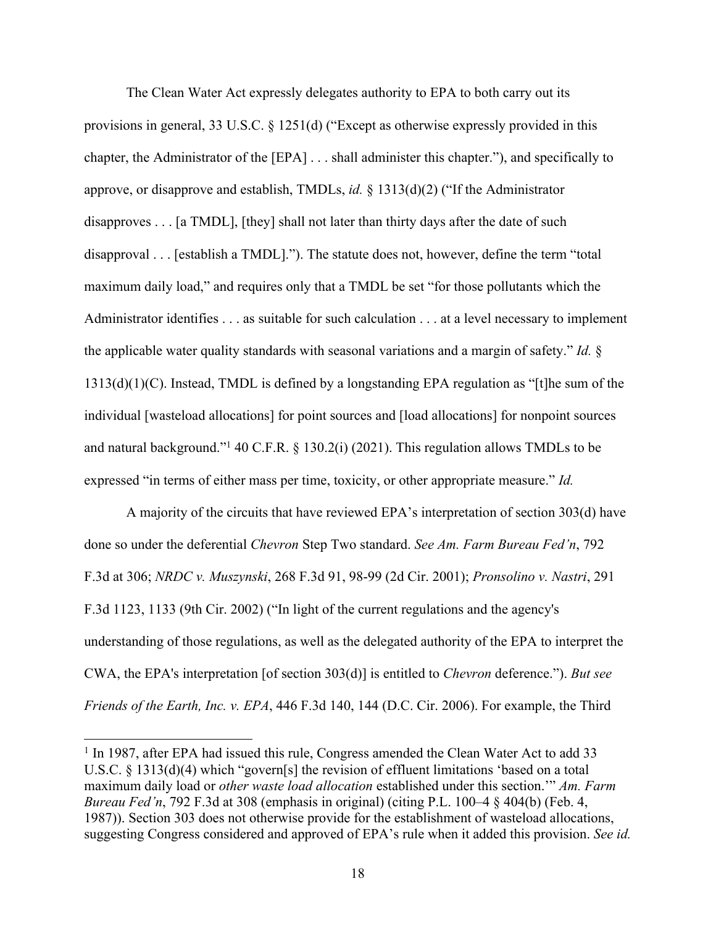The Clean Water Act expressly delegates authority to EPA to both carry out its provisions in general, 33 U.S.C. § 1251(d) ("Except as otherwise expressly provided in this chapter, the Administrator of the [EPA] . . . shall administer this chapter."), and specifically to approve, or disapprove and establish, TMDLs, *id.* § 1313(d)(2) ("If the Administrator disapproves  $\dots$  [a TMDL], [they] shall not later than thirty days after the date of such disapproval . . . [establish a TMDL]."). The statute does not, however, define the term "total maximum daily load," and requires only that a TMDL be set "for those pollutants which the Administrator identifies . . . as suitable for such calculation . . . at a level necessary to implement the applicable water quality standards with seasonal variations and a margin of safety." *Id.* § 1313(d)(1)(C). Instead, TMDL is defined by a longstanding EPA regulation as "[t]he sum of the individual [wasteload allocations] for point sources and [load allocations] for nonpoint sources and natural background."1 40 C.F.R. § 130.2(i) (2021). This regulation allows TMDLs to be expressed "in terms of either mass per time, toxicity, or other appropriate measure." *Id.*

A majority of the circuits that have reviewed EPA's interpretation of section 303(d) have done so under the deferential *Chevron* Step Two standard. *See Am. Farm Bureau Fed'n*, 792 F.3d at 306; *NRDC v. Muszynski*, 268 F.3d 91, 98-99 (2d Cir. 2001); *Pronsolino v. Nastri*, 291 F.3d 1123, 1133 (9th Cir. 2002) ("In light of the current regulations and the agency's understanding of those regulations, as well as the delegated authority of the EPA to interpret the CWA, the EPA's interpretation [of section 303(d)] is entitled to *Chevron* deference."). *But see Friends of the Earth, Inc. v. EPA*, 446 F.3d 140, 144 (D.C. Cir. 2006). For example, the Third

<sup>&</sup>lt;sup>1</sup> In 1987, after EPA had issued this rule, Congress amended the Clean Water Act to add 33 U.S.C. § 1313(d)(4) which "govern[s] the revision of effluent limitations 'based on a total maximum daily load or *other waste load allocation* established under this section.'" *Am. Farm Bureau Fed'n*, 792 F.3d at 308 (emphasis in original) (citing P.L. 100–4 § 404(b) (Feb. 4, 1987)). Section 303 does not otherwise provide for the establishment of wasteload allocations, suggesting Congress considered and approved of EPA's rule when it added this provision. *See id.*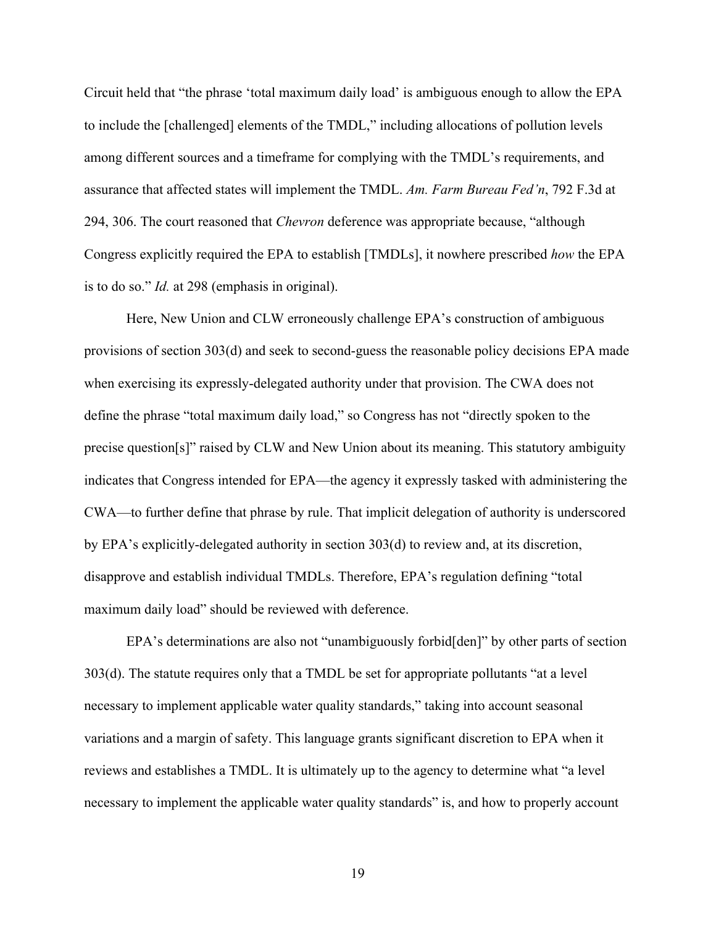Circuit held that "the phrase 'total maximum daily load' is ambiguous enough to allow the EPA to include the [challenged] elements of the TMDL," including allocations of pollution levels among different sources and a timeframe for complying with the TMDL's requirements, and assurance that affected states will implement the TMDL. *Am. Farm Bureau Fed'n*, 792 F.3d at 294, 306. The court reasoned that *Chevron* deference was appropriate because, "although Congress explicitly required the EPA to establish [TMDLs], it nowhere prescribed *how* the EPA is to do so." *Id.* at 298 (emphasis in original).

Here, New Union and CLW erroneously challenge EPA's construction of ambiguous provisions of section 303(d) and seek to second-guess the reasonable policy decisions EPA made when exercising its expressly-delegated authority under that provision. The CWA does not define the phrase "total maximum daily load," so Congress has not "directly spoken to the precise question[s]" raised by CLW and New Union about its meaning. This statutory ambiguity indicates that Congress intended for EPA—the agency it expressly tasked with administering the CWA—to further define that phrase by rule. That implicit delegation of authority is underscored by EPA's explicitly-delegated authority in section 303(d) to review and, at its discretion, disapprove and establish individual TMDLs. Therefore, EPA's regulation defining "total maximum daily load" should be reviewed with deference.

EPA's determinations are also not "unambiguously forbid[den]" by other parts of section 303(d). The statute requires only that a TMDL be set for appropriate pollutants "at a level necessary to implement applicable water quality standards," taking into account seasonal variations and a margin of safety. This language grants significant discretion to EPA when it reviews and establishes a TMDL. It is ultimately up to the agency to determine what "a level necessary to implement the applicable water quality standards" is, and how to properly account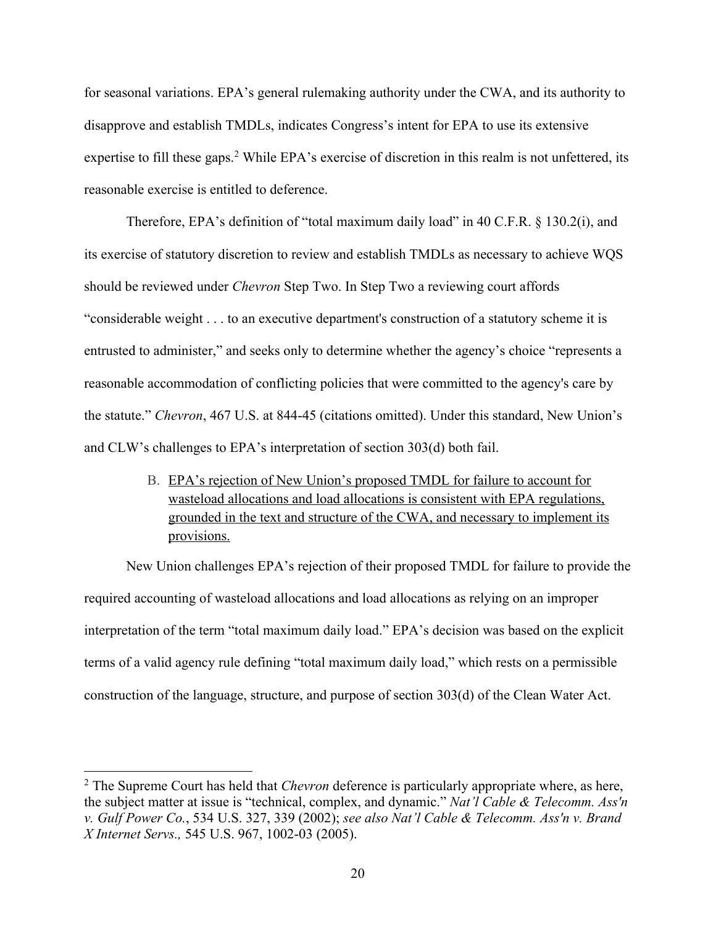for seasonal variations. EPA's general rulemaking authority under the CWA, and its authority to disapprove and establish TMDLs, indicates Congress's intent for EPA to use its extensive expertise to fill these gaps.<sup>2</sup> While EPA's exercise of discretion in this realm is not unfettered, its reasonable exercise is entitled to deference.

Therefore, EPA's definition of "total maximum daily load" in 40 C.F.R. § 130.2(i), and its exercise of statutory discretion to review and establish TMDLs as necessary to achieve WQS should be reviewed under *Chevron* Step Two. In Step Two a reviewing court affords "considerable weight . . . to an executive department's construction of a statutory scheme it is entrusted to administer," and seeks only to determine whether the agency's choice "represents a reasonable accommodation of conflicting policies that were committed to the agency's care by the statute." *Chevron*, 467 U.S. at 844-45 (citations omitted). Under this standard, New Union's and CLW's challenges to EPA's interpretation of section 303(d) both fail.

> B. EPA's rejection of New Union's proposed TMDL for failure to account for wasteload allocations and load allocations is consistent with EPA regulations, grounded in the text and structure of the CWA, and necessary to implement its provisions.

New Union challenges EPA's rejection of their proposed TMDL for failure to provide the required accounting of wasteload allocations and load allocations as relying on an improper interpretation of the term "total maximum daily load." EPA's decision was based on the explicit terms of a valid agency rule defining "total maximum daily load," which rests on a permissible construction of the language, structure, and purpose of section 303(d) of the Clean Water Act.

<sup>2</sup> The Supreme Court has held that *Chevron* deference is particularly appropriate where, as here, the subject matter at issue is "technical, complex, and dynamic." *Nat'l Cable & Telecomm. Ass'n v. Gulf Power Co.*, 534 U.S. 327, 339 (2002); *see also Nat'l Cable & Telecomm. Ass'n v. Brand X Internet Servs.,* 545 U.S. 967, 1002-03 (2005).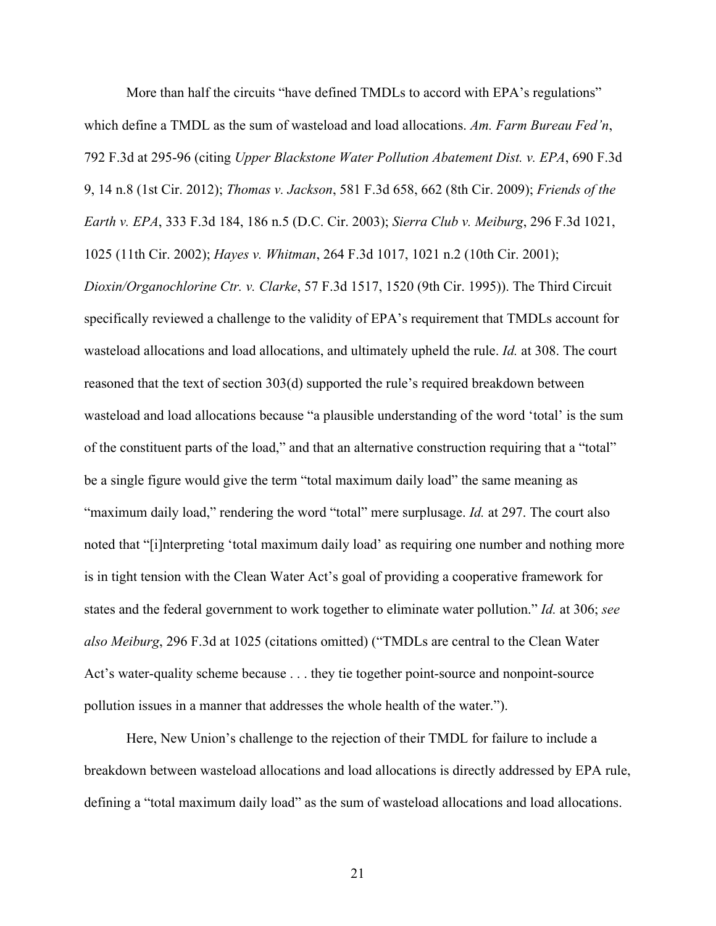More than half the circuits "have defined TMDLs to accord with EPA's regulations" which define a TMDL as the sum of wasteload and load allocations. *Am. Farm Bureau Fed'n*, 792 F.3d at 295-96 (citing *Upper Blackstone Water Pollution Abatement Dist. v. EPA*, 690 F.3d 9, 14 n.8 (1st Cir. 2012); *Thomas v. Jackson*, 581 F.3d 658, 662 (8th Cir. 2009); *Friends of the Earth v. EPA*, 333 F.3d 184, 186 n.5 (D.C. Cir. 2003); *Sierra Club v. Meiburg*, 296 F.3d 1021, 1025 (11th Cir. 2002); *Hayes v. Whitman*, 264 F.3d 1017, 1021 n.2 (10th Cir. 2001);

*Dioxin/Organochlorine Ctr. v. Clarke*, 57 F.3d 1517, 1520 (9th Cir. 1995)). The Third Circuit specifically reviewed a challenge to the validity of EPA's requirement that TMDLs account for wasteload allocations and load allocations, and ultimately upheld the rule. *Id.* at 308. The court reasoned that the text of section 303(d) supported the rule's required breakdown between wasteload and load allocations because "a plausible understanding of the word 'total' is the sum of the constituent parts of the load," and that an alternative construction requiring that a "total" be a single figure would give the term "total maximum daily load" the same meaning as "maximum daily load," rendering the word "total" mere surplusage. *Id.* at 297. The court also noted that "[i]nterpreting 'total maximum daily load' as requiring one number and nothing more is in tight tension with the Clean Water Act's goal of providing a cooperative framework for states and the federal government to work together to eliminate water pollution." *Id.* at 306; *see also Meiburg*, 296 F.3d at 1025 (citations omitted) ("TMDLs are central to the Clean Water Act's water-quality scheme because . . . they tie together point-source and nonpoint-source pollution issues in a manner that addresses the whole health of the water.").

Here, New Union's challenge to the rejection of their TMDL for failure to include a breakdown between wasteload allocations and load allocations is directly addressed by EPA rule, defining a "total maximum daily load" as the sum of wasteload allocations and load allocations.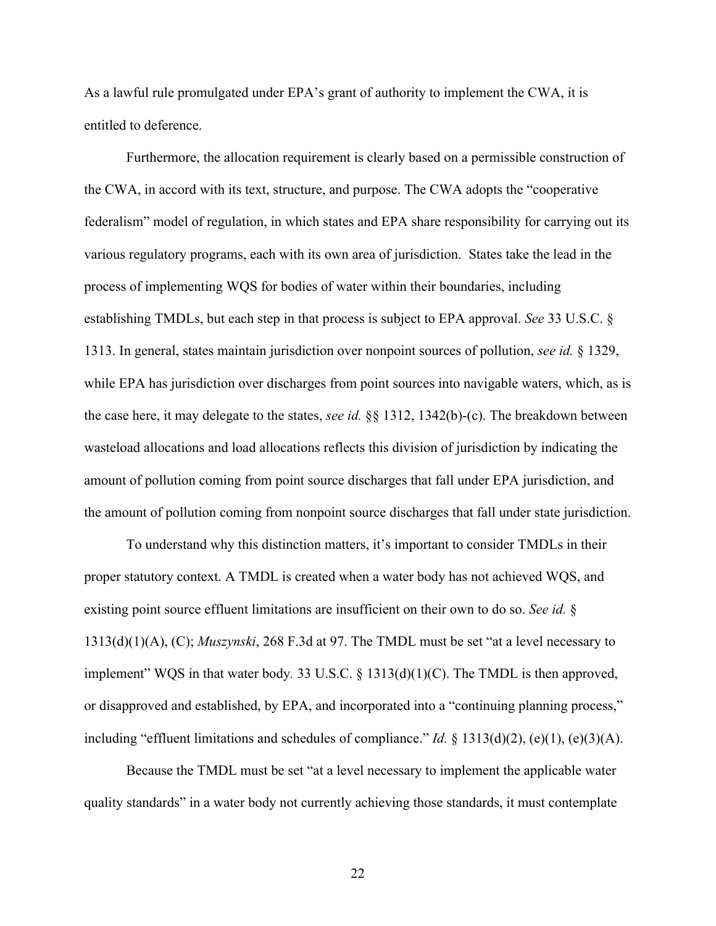As a lawful rule promulgated under EPA's grant of authority to implement the CWA, it is entitled to deference.

Furthermore, the allocation requirement is clearly based on a permissible construction of the CWA, in accord with its text, structure, and purpose. The CWA adopts the "cooperative federalism" model of regulation, in which states and EPA share responsibility for carrying out its various regulatory programs, each with its own area of jurisdiction. States take the lead in the process of implementing WQS for bodies of water within their boundaries, including establishing TMDLs, but each step in that process is subject to EPA approval. *See* 33 U.S.C. § 1313. In general, states maintain jurisdiction over nonpoint sources of pollution, *see id.* § 1329, while EPA has jurisdiction over discharges from point sources into navigable waters, which, as is the case here, it may delegate to the states, *see id.* §§ 1312, 1342(b)-(c). The breakdown between wasteload allocations and load allocations reflects this division of jurisdiction by indicating the amount of pollution coming from point source discharges that fall under EPA jurisdiction, and the amount of pollution coming from nonpoint source discharges that fall under state jurisdiction.

To understand why this distinction matters, it's important to consider TMDLs in their proper statutory context. A TMDL is created when a water body has not achieved WQS, and existing point source effluent limitations are insufficient on their own to do so. *See id.* § 1313(d)(1)(A), (C); *Muszynski*, 268 F.3d at 97. The TMDL must be set "at a level necessary to implement" WQS in that water body*.* 33 U.S.C. § 1313(d)(1)(C). The TMDL is then approved, or disapproved and established, by EPA, and incorporated into a "continuing planning process," including "effluent limitations and schedules of compliance." *Id.* § 1313(d)(2), (e)(1), (e)(3)(A).

Because the TMDL must be set "at a level necessary to implement the applicable water quality standards" in a water body not currently achieving those standards, it must contemplate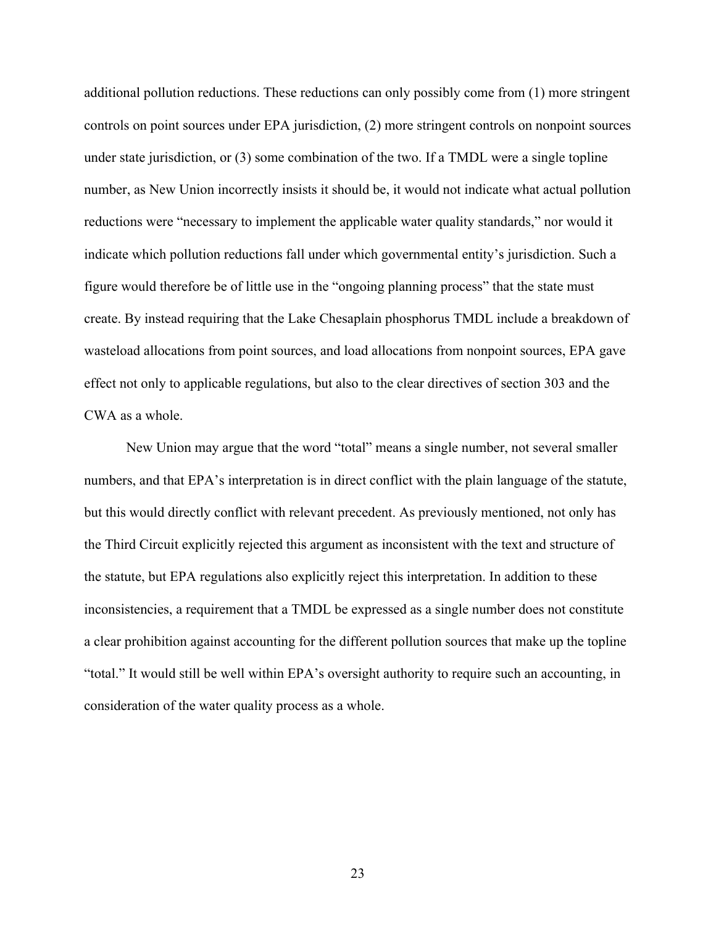additional pollution reductions. These reductions can only possibly come from (1) more stringent controls on point sources under EPA jurisdiction, (2) more stringent controls on nonpoint sources under state jurisdiction, or (3) some combination of the two. If a TMDL were a single topline number, as New Union incorrectly insists it should be, it would not indicate what actual pollution reductions were "necessary to implement the applicable water quality standards," nor would it indicate which pollution reductions fall under which governmental entity's jurisdiction. Such a figure would therefore be of little use in the "ongoing planning process" that the state must create. By instead requiring that the Lake Chesaplain phosphorus TMDL include a breakdown of wasteload allocations from point sources, and load allocations from nonpoint sources, EPA gave effect not only to applicable regulations, but also to the clear directives of section 303 and the CWA as a whole.

New Union may argue that the word "total" means a single number, not several smaller numbers, and that EPA's interpretation is in direct conflict with the plain language of the statute, but this would directly conflict with relevant precedent. As previously mentioned, not only has the Third Circuit explicitly rejected this argument as inconsistent with the text and structure of the statute, but EPA regulations also explicitly reject this interpretation. In addition to these inconsistencies, a requirement that a TMDL be expressed as a single number does not constitute a clear prohibition against accounting for the different pollution sources that make up the topline "total." It would still be well within EPA's oversight authority to require such an accounting, in consideration of the water quality process as a whole.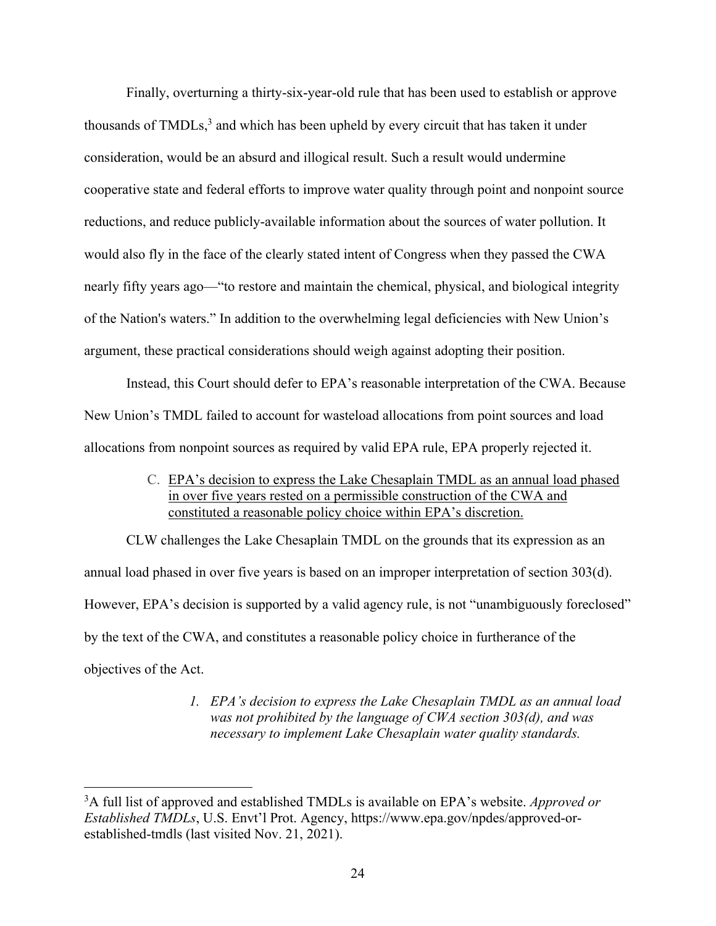Finally, overturning a thirty-six-year-old rule that has been used to establish or approve thousands of  $TMDLs<sup>3</sup>$  and which has been upheld by every circuit that has taken it under consideration, would be an absurd and illogical result. Such a result would undermine cooperative state and federal efforts to improve water quality through point and nonpoint source reductions, and reduce publicly-available information about the sources of water pollution. It would also fly in the face of the clearly stated intent of Congress when they passed the CWA nearly fifty years ago—"to restore and maintain the chemical, physical, and biological integrity of the Nation's waters." In addition to the overwhelming legal deficiencies with New Union's argument, these practical considerations should weigh against adopting their position.

Instead, this Court should defer to EPA's reasonable interpretation of the CWA. Because New Union's TMDL failed to account for wasteload allocations from point sources and load allocations from nonpoint sources as required by valid EPA rule, EPA properly rejected it.

> C. EPA's decision to express the Lake Chesaplain TMDL as an annual load phased in over five years rested on a permissible construction of the CWA and constituted a reasonable policy choice within EPA's discretion.

CLW challenges the Lake Chesaplain TMDL on the grounds that its expression as an annual load phased in over five years is based on an improper interpretation of section 303(d). However, EPA's decision is supported by a valid agency rule, is not "unambiguously foreclosed" by the text of the CWA, and constitutes a reasonable policy choice in furtherance of the objectives of the Act.

> *1. EPA's decision to express the Lake Chesaplain TMDL as an annual load was not prohibited by the language of CWA section 303(d), and was necessary to implement Lake Chesaplain water quality standards.*

<sup>3</sup>A full list of approved and established TMDLs is available on EPA's website. *Approved or Established TMDLs*, U.S. Envt'l Prot. Agency, https://www.epa.gov/npdes/approved-orestablished-tmdls (last visited Nov. 21, 2021).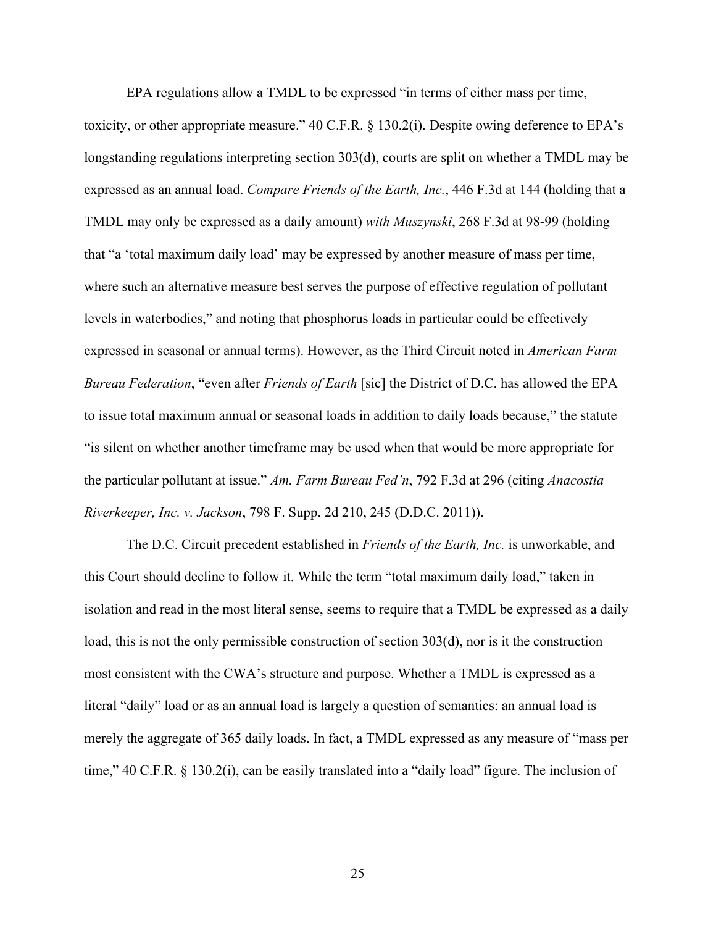EPA regulations allow a TMDL to be expressed "in terms of either mass per time,

toxicity, or other appropriate measure." 40 C.F.R. § 130.2(i). Despite owing deference to EPA's longstanding regulations interpreting section 303(d), courts are split on whether a TMDL may be expressed as an annual load. *Compare Friends of the Earth, Inc.*, 446 F.3d at 144 (holding that a TMDL may only be expressed as a daily amount) *with Muszynski*, 268 F.3d at 98-99 (holding that "a 'total maximum daily load' may be expressed by another measure of mass per time, where such an alternative measure best serves the purpose of effective regulation of pollutant levels in waterbodies," and noting that phosphorus loads in particular could be effectively expressed in seasonal or annual terms). However, as the Third Circuit noted in *American Farm Bureau Federation*, "even after *Friends of Earth* [sic] the District of D.C. has allowed the EPA to issue total maximum annual or seasonal loads in addition to daily loads because," the statute "is silent on whether another timeframe may be used when that would be more appropriate for the particular pollutant at issue." *Am. Farm Bureau Fed'n*, 792 F.3d at 296 (citing *Anacostia Riverkeeper, Inc. v. Jackson*, 798 F. Supp. 2d 210, 245 (D.D.C. 2011)).

The D.C. Circuit precedent established in *Friends of the Earth, Inc.* is unworkable, and this Court should decline to follow it. While the term "total maximum daily load," taken in isolation and read in the most literal sense, seems to require that a TMDL be expressed as a daily load, this is not the only permissible construction of section 303(d), nor is it the construction most consistent with the CWA's structure and purpose. Whether a TMDL is expressed as a literal "daily" load or as an annual load is largely a question of semantics: an annual load is merely the aggregate of 365 daily loads. In fact, a TMDL expressed as any measure of "mass per time," 40 C.F.R. § 130.2(i), can be easily translated into a "daily load" figure. The inclusion of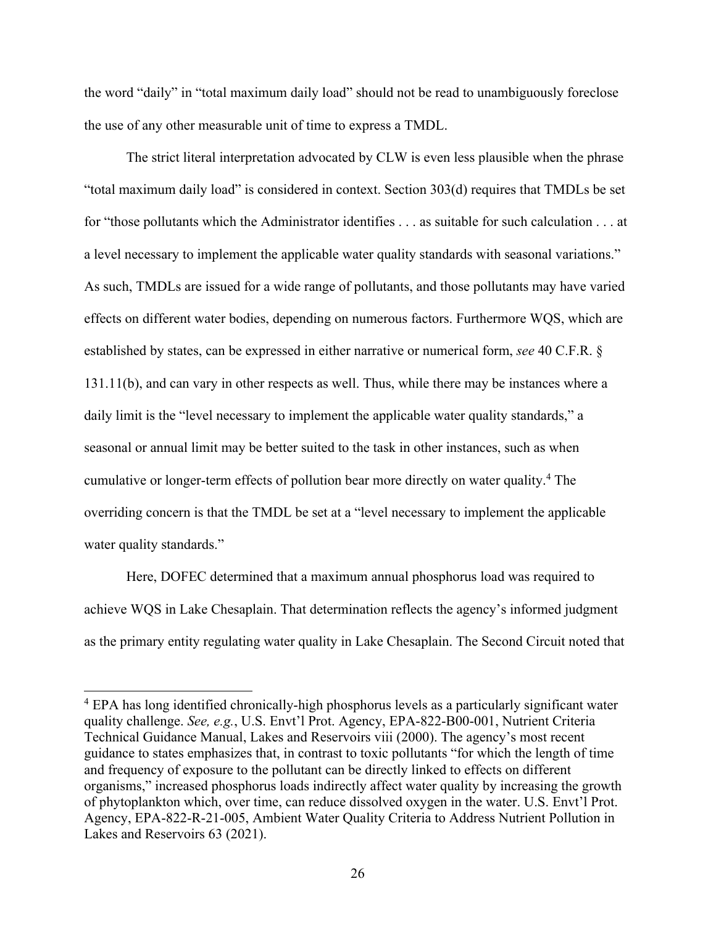the word "daily" in "total maximum daily load" should not be read to unambiguously foreclose the use of any other measurable unit of time to express a TMDL.

The strict literal interpretation advocated by CLW is even less plausible when the phrase "total maximum daily load" is considered in context. Section 303(d) requires that TMDLs be set for "those pollutants which the Administrator identifies . . . as suitable for such calculation . . . at a level necessary to implement the applicable water quality standards with seasonal variations." As such, TMDLs are issued for a wide range of pollutants, and those pollutants may have varied effects on different water bodies, depending on numerous factors. Furthermore WQS, which are established by states, can be expressed in either narrative or numerical form, *see* 40 C.F.R. § 131.11(b), and can vary in other respects as well. Thus, while there may be instances where a daily limit is the "level necessary to implement the applicable water quality standards," a seasonal or annual limit may be better suited to the task in other instances, such as when cumulative or longer-term effects of pollution bear more directly on water quality.4 The overriding concern is that the TMDL be set at a "level necessary to implement the applicable water quality standards."

Here, DOFEC determined that a maximum annual phosphorus load was required to achieve WQS in Lake Chesaplain. That determination reflects the agency's informed judgment as the primary entity regulating water quality in Lake Chesaplain. The Second Circuit noted that

<sup>4</sup> EPA has long identified chronically-high phosphorus levels as a particularly significant water quality challenge. *See, e.g.*, U.S. Envt'l Prot. Agency, EPA-822-B00-001, Nutrient Criteria Technical Guidance Manual, Lakes and Reservoirs viii (2000). The agency's most recent guidance to states emphasizes that, in contrast to toxic pollutants "for which the length of time and frequency of exposure to the pollutant can be directly linked to effects on different organisms," increased phosphorus loads indirectly affect water quality by increasing the growth of phytoplankton which, over time, can reduce dissolved oxygen in the water. U.S. Envt'l Prot. Agency, EPA-822-R-21-005, Ambient Water Quality Criteria to Address Nutrient Pollution in Lakes and Reservoirs 63 (2021).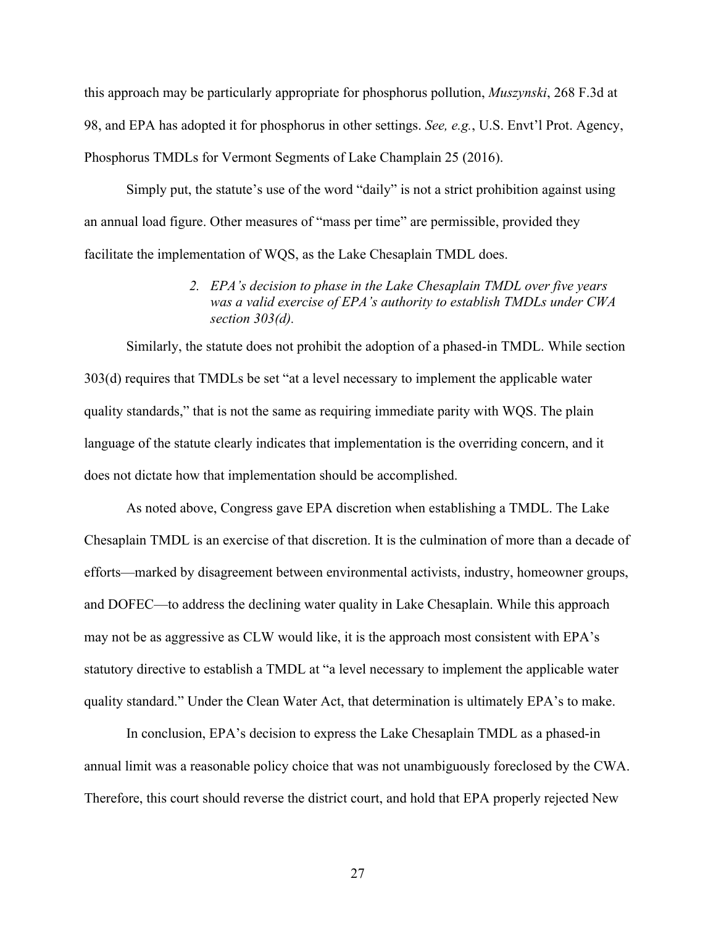this approach may be particularly appropriate for phosphorus pollution, *Muszynski*, 268 F.3d at 98, and EPA has adopted it for phosphorus in other settings. *See, e.g.*, U.S. Envt'l Prot. Agency, Phosphorus TMDLs for Vermont Segments of Lake Champlain 25 (2016).

Simply put, the statute's use of the word "daily" is not a strict prohibition against using an annual load figure. Other measures of "mass per time" are permissible, provided they facilitate the implementation of WQS, as the Lake Chesaplain TMDL does.

> *2. EPA's decision to phase in the Lake Chesaplain TMDL over five years was a valid exercise of EPA's authority to establish TMDLs under CWA section 303(d).*

Similarly, the statute does not prohibit the adoption of a phased-in TMDL. While section 303(d) requires that TMDLs be set "at a level necessary to implement the applicable water quality standards," that is not the same as requiring immediate parity with WQS. The plain language of the statute clearly indicates that implementation is the overriding concern, and it does not dictate how that implementation should be accomplished.

As noted above, Congress gave EPA discretion when establishing a TMDL. The Lake Chesaplain TMDL is an exercise of that discretion. It is the culmination of more than a decade of efforts—marked by disagreement between environmental activists, industry, homeowner groups, and DOFEC—to address the declining water quality in Lake Chesaplain. While this approach may not be as aggressive as CLW would like, it is the approach most consistent with EPA's statutory directive to establish a TMDL at "a level necessary to implement the applicable water quality standard." Under the Clean Water Act, that determination is ultimately EPA's to make.

In conclusion, EPA's decision to express the Lake Chesaplain TMDL as a phased-in annual limit was a reasonable policy choice that was not unambiguously foreclosed by the CWA. Therefore, this court should reverse the district court, and hold that EPA properly rejected New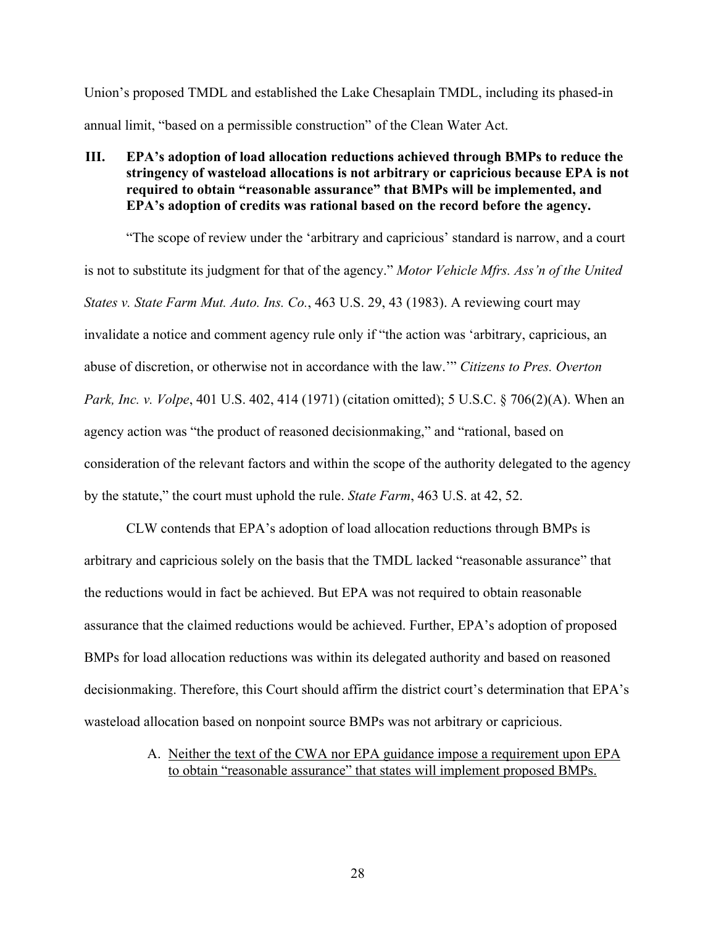Union's proposed TMDL and established the Lake Chesaplain TMDL, including its phased-in annual limit, "based on a permissible construction" of the Clean Water Act.

## **III. EPA's adoption of load allocation reductions achieved through BMPs to reduce the stringency of wasteload allocations is not arbitrary or capricious because EPA is not required to obtain "reasonable assurance" that BMPs will be implemented, and EPA's adoption of credits was rational based on the record before the agency.**

"The scope of review under the 'arbitrary and capricious' standard is narrow, and a court is not to substitute its judgment for that of the agency." *Motor Vehicle Mfrs. Ass'n of the United States v. State Farm Mut. Auto. Ins. Co.*, 463 U.S. 29, 43 (1983). A reviewing court may invalidate a notice and comment agency rule only if "the action was 'arbitrary, capricious, an abuse of discretion, or otherwise not in accordance with the law.'" *Citizens to Pres. Overton Park, Inc. v. Volpe*, 401 U.S. 402, 414 (1971) (citation omitted); 5 U.S.C. § 706(2)(A). When an agency action was "the product of reasoned decisionmaking," and "rational, based on consideration of the relevant factors and within the scope of the authority delegated to the agency by the statute," the court must uphold the rule. *State Farm*, 463 U.S. at 42, 52.

CLW contends that EPA's adoption of load allocation reductions through BMPs is arbitrary and capricious solely on the basis that the TMDL lacked "reasonable assurance" that the reductions would in fact be achieved. But EPA was not required to obtain reasonable assurance that the claimed reductions would be achieved. Further, EPA's adoption of proposed BMPs for load allocation reductions was within its delegated authority and based on reasoned decisionmaking. Therefore, this Court should affirm the district court's determination that EPA's wasteload allocation based on nonpoint source BMPs was not arbitrary or capricious.

> A. Neither the text of the CWA nor EPA guidance impose a requirement upon EPA to obtain "reasonable assurance" that states will implement proposed BMPs.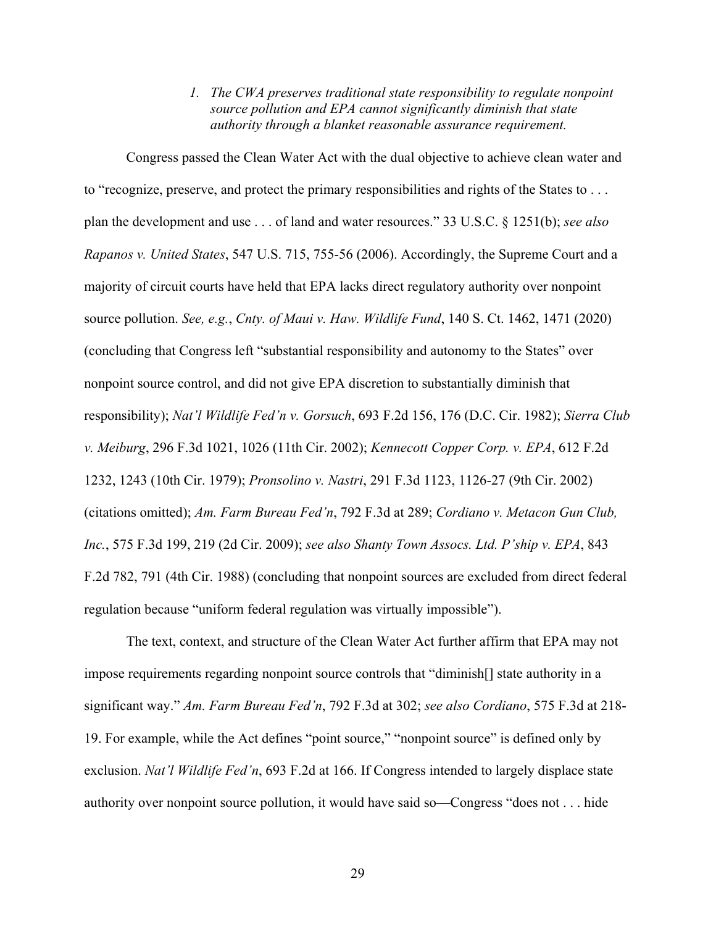*1. The CWA preserves traditional state responsibility to regulate nonpoint source pollution and EPA cannot significantly diminish that state authority through a blanket reasonable assurance requirement.*

Congress passed the Clean Water Act with the dual objective to achieve clean water and to "recognize, preserve, and protect the primary responsibilities and rights of the States to . . . plan the development and use . . . of land and water resources." 33 U.S.C. § 1251(b); *see also Rapanos v. United States*, 547 U.S. 715, 755-56 (2006). Accordingly, the Supreme Court and a majority of circuit courts have held that EPA lacks direct regulatory authority over nonpoint source pollution. *See, e.g.*, *Cnty. of Maui v. Haw. Wildlife Fund*, 140 S. Ct. 1462, 1471 (2020) (concluding that Congress left "substantial responsibility and autonomy to the States" over nonpoint source control, and did not give EPA discretion to substantially diminish that responsibility); *Nat'l Wildlife Fed'n v. Gorsuch*, 693 F.2d 156, 176 (D.C. Cir. 1982); *Sierra Club v. Meiburg*, 296 F.3d 1021, 1026 (11th Cir. 2002); *Kennecott Copper Corp. v. EPA*, 612 F.2d 1232, 1243 (10th Cir. 1979); *Pronsolino v. Nastri*, 291 F.3d 1123, 1126-27 (9th Cir. 2002) (citations omitted); *Am. Farm Bureau Fed'n*, 792 F.3d at 289; *Cordiano v. Metacon Gun Club, Inc.*, 575 F.3d 199, 219 (2d Cir. 2009); *see also Shanty Town Assocs. Ltd. P'ship v. EPA*, 843 F.2d 782, 791 (4th Cir. 1988) (concluding that nonpoint sources are excluded from direct federal regulation because "uniform federal regulation was virtually impossible").

The text, context, and structure of the Clean Water Act further affirm that EPA may not impose requirements regarding nonpoint source controls that "diminish[] state authority in a significant way." *Am. Farm Bureau Fed'n*, 792 F.3d at 302; *see also Cordiano*, 575 F.3d at 218- 19. For example, while the Act defines "point source," "nonpoint source" is defined only by exclusion. *Nat'l Wildlife Fed'n*, 693 F.2d at 166. If Congress intended to largely displace state authority over nonpoint source pollution, it would have said so—Congress "does not . . . hide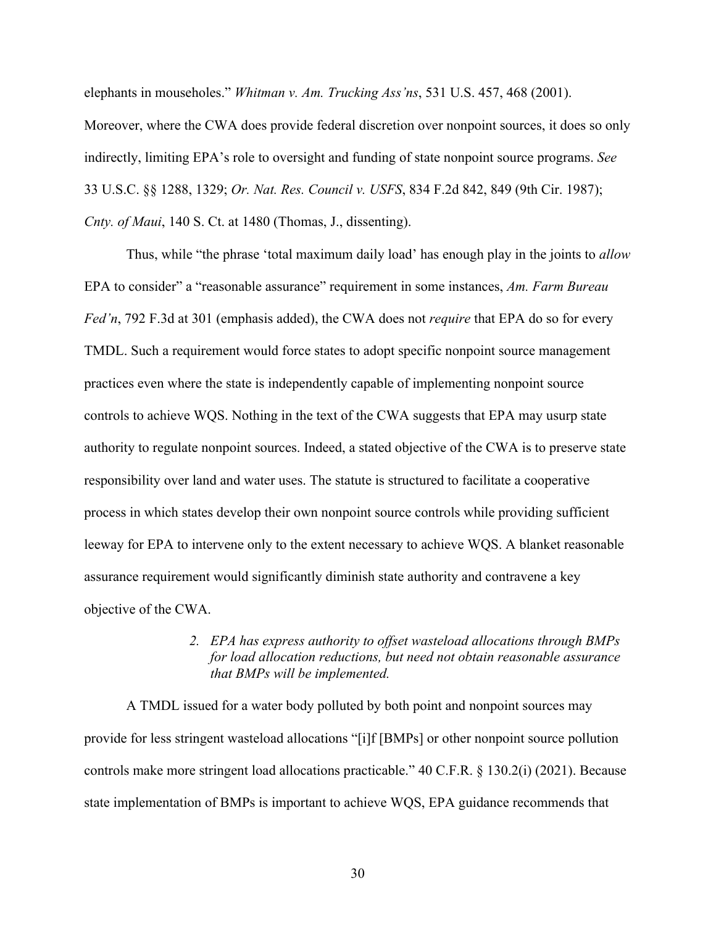elephants in mouseholes." *Whitman v. Am. Trucking Ass'ns*, 531 U.S. 457, 468 (2001).

Moreover, where the CWA does provide federal discretion over nonpoint sources, it does so only indirectly, limiting EPA's role to oversight and funding of state nonpoint source programs. *See*  33 U.S.C. §§ 1288, 1329; *Or. Nat. Res. Council v. USFS*, 834 F.2d 842, 849 (9th Cir. 1987); *Cnty. of Maui*, 140 S. Ct. at 1480 (Thomas, J., dissenting).

Thus, while "the phrase 'total maximum daily load' has enough play in the joints to *allow* EPA to consider" a "reasonable assurance" requirement in some instances, *Am. Farm Bureau Fed'n*, 792 F.3d at 301 (emphasis added), the CWA does not *require* that EPA do so for every TMDL. Such a requirement would force states to adopt specific nonpoint source management practices even where the state is independently capable of implementing nonpoint source controls to achieve WQS. Nothing in the text of the CWA suggests that EPA may usurp state authority to regulate nonpoint sources. Indeed, a stated objective of the CWA is to preserve state responsibility over land and water uses. The statute is structured to facilitate a cooperative process in which states develop their own nonpoint source controls while providing sufficient leeway for EPA to intervene only to the extent necessary to achieve WQS. A blanket reasonable assurance requirement would significantly diminish state authority and contravene a key objective of the CWA.

## *2. EPA has express authority to offset wasteload allocations through BMPs for load allocation reductions, but need not obtain reasonable assurance that BMPs will be implemented.*

A TMDL issued for a water body polluted by both point and nonpoint sources may provide for less stringent wasteload allocations "[i]f [BMPs] or other nonpoint source pollution controls make more stringent load allocations practicable." 40 C.F.R. § 130.2(i) (2021). Because state implementation of BMPs is important to achieve WQS, EPA guidance recommends that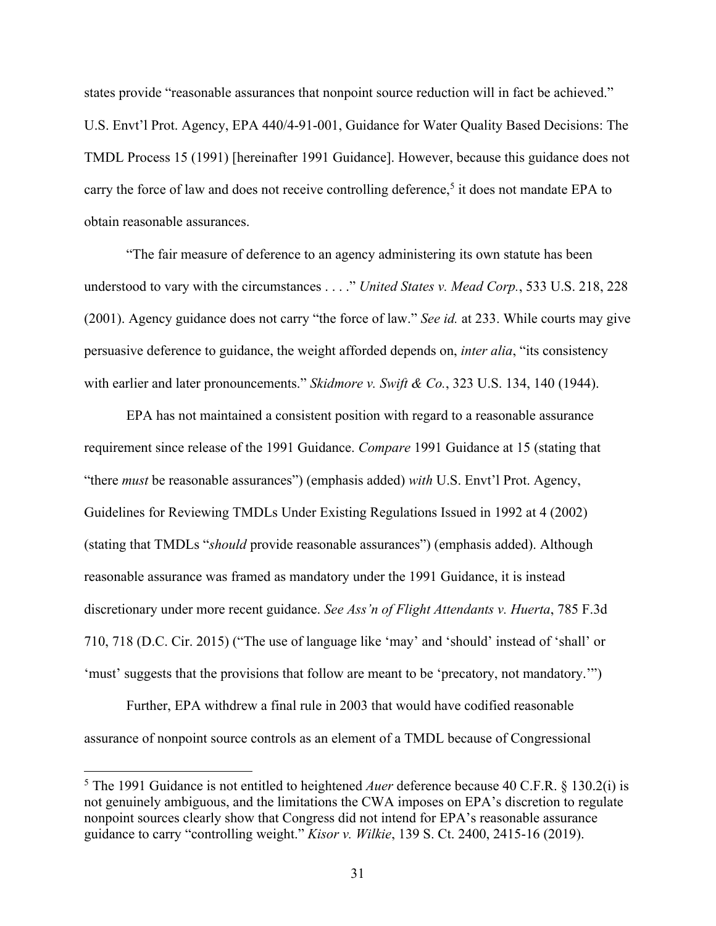states provide "reasonable assurances that nonpoint source reduction will in fact be achieved." U.S. Envt'l Prot. Agency, EPA 440/4-91-001, Guidance for Water Quality Based Decisions: The TMDL Process 15 (1991) [hereinafter 1991 Guidance]. However, because this guidance does not carry the force of law and does not receive controlling deference,<sup>5</sup> it does not mandate EPA to obtain reasonable assurances.

"The fair measure of deference to an agency administering its own statute has been understood to vary with the circumstances . . . ." *United States v. Mead Corp.*, 533 U.S. 218, 228 (2001). Agency guidance does not carry "the force of law." *See id.* at 233. While courts may give persuasive deference to guidance, the weight afforded depends on, *inter alia*, "its consistency with earlier and later pronouncements." *Skidmore v. Swift & Co.*, 323 U.S. 134, 140 (1944).

EPA has not maintained a consistent position with regard to a reasonable assurance requirement since release of the 1991 Guidance. *Compare* 1991 Guidance at 15 (stating that "there *must* be reasonable assurances") (emphasis added) *with* U.S. Envt'l Prot. Agency, Guidelines for Reviewing TMDLs Under Existing Regulations Issued in 1992 at 4 (2002) (stating that TMDLs "*should* provide reasonable assurances") (emphasis added). Although reasonable assurance was framed as mandatory under the 1991 Guidance, it is instead discretionary under more recent guidance. *See Ass'n of Flight Attendants v. Huerta*, 785 F.3d 710, 718 (D.C. Cir. 2015) ("The use of language like 'may' and 'should' instead of 'shall' or 'must' suggests that the provisions that follow are meant to be 'precatory, not mandatory.'")

Further, EPA withdrew a final rule in 2003 that would have codified reasonable assurance of nonpoint source controls as an element of a TMDL because of Congressional

<sup>5</sup> The 1991 Guidance is not entitled to heightened *Auer* deference because 40 C.F.R. § 130.2(i) is not genuinely ambiguous, and the limitations the CWA imposes on EPA's discretion to regulate nonpoint sources clearly show that Congress did not intend for EPA's reasonable assurance guidance to carry "controlling weight." *Kisor v. Wilkie*, 139 S. Ct. 2400, 2415-16 (2019).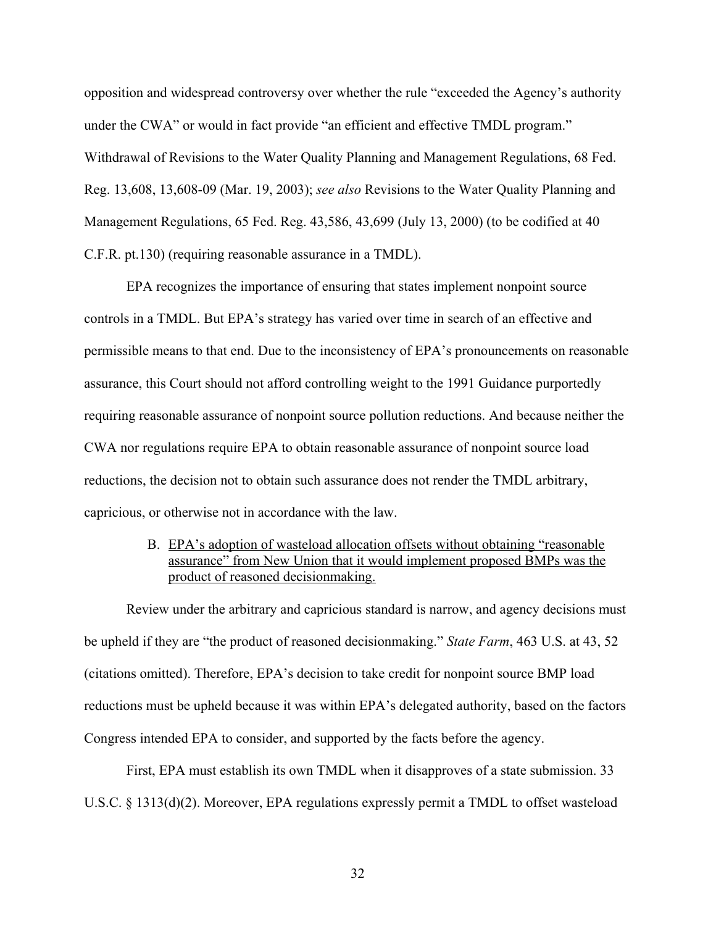opposition and widespread controversy over whether the rule "exceeded the Agency's authority under the CWA" or would in fact provide "an efficient and effective TMDL program." Withdrawal of Revisions to the Water Quality Planning and Management Regulations, 68 Fed. Reg. 13,608, 13,608-09 (Mar. 19, 2003); *see also* Revisions to the Water Quality Planning and Management Regulations, 65 Fed. Reg. 43,586, 43,699 (July 13, 2000) (to be codified at 40 C.F.R. pt.130) (requiring reasonable assurance in a TMDL).

EPA recognizes the importance of ensuring that states implement nonpoint source controls in a TMDL. But EPA's strategy has varied over time in search of an effective and permissible means to that end. Due to the inconsistency of EPA's pronouncements on reasonable assurance, this Court should not afford controlling weight to the 1991 Guidance purportedly requiring reasonable assurance of nonpoint source pollution reductions. And because neither the CWA nor regulations require EPA to obtain reasonable assurance of nonpoint source load reductions, the decision not to obtain such assurance does not render the TMDL arbitrary, capricious, or otherwise not in accordance with the law.

> B. EPA's adoption of wasteload allocation offsets without obtaining "reasonable assurance" from New Union that it would implement proposed BMPs was the product of reasoned decisionmaking.

Review under the arbitrary and capricious standard is narrow, and agency decisions must be upheld if they are "the product of reasoned decisionmaking." *State Farm*, 463 U.S. at 43, 52 (citations omitted). Therefore, EPA's decision to take credit for nonpoint source BMP load reductions must be upheld because it was within EPA's delegated authority, based on the factors Congress intended EPA to consider, and supported by the facts before the agency.

First, EPA must establish its own TMDL when it disapproves of a state submission. 33 U.S.C. § 1313(d)(2). Moreover, EPA regulations expressly permit a TMDL to offset wasteload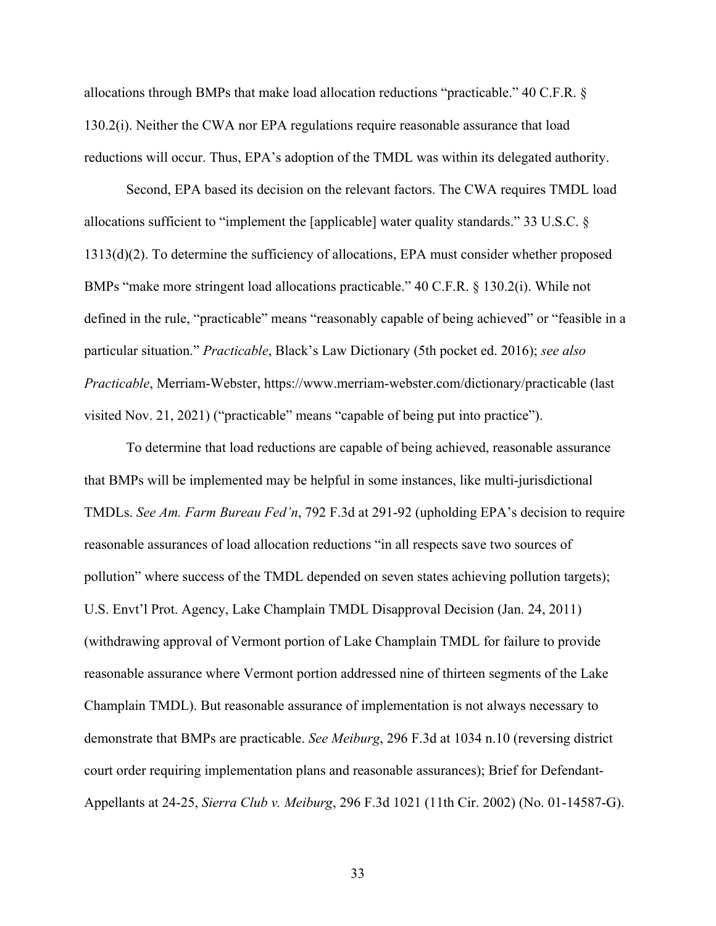allocations through BMPs that make load allocation reductions "practicable." 40 C.F.R. § 130.2(i). Neither the CWA nor EPA regulations require reasonable assurance that load reductions will occur. Thus, EPA's adoption of the TMDL was within its delegated authority.

Second, EPA based its decision on the relevant factors. The CWA requires TMDL load allocations sufficient to "implement the [applicable] water quality standards." 33 U.S.C. § 1313(d)(2). To determine the sufficiency of allocations, EPA must consider whether proposed BMPs "make more stringent load allocations practicable." 40 C.F.R. § 130.2(i). While not defined in the rule, "practicable" means "reasonably capable of being achieved" or "feasible in a particular situation." *Practicable*, Black's Law Dictionary (5th pocket ed. 2016); *see also Practicable*, Merriam-Webster, https://www.merriam-webster.com/dictionary/practicable (last visited Nov. 21, 2021) ("practicable" means "capable of being put into practice").

To determine that load reductions are capable of being achieved, reasonable assurance that BMPs will be implemented may be helpful in some instances, like multi-jurisdictional TMDLs. *See Am. Farm Bureau Fed'n*, 792 F.3d at 291-92 (upholding EPA's decision to require reasonable assurances of load allocation reductions "in all respects save two sources of pollution" where success of the TMDL depended on seven states achieving pollution targets); U.S. Envt'l Prot. Agency, Lake Champlain TMDL Disapproval Decision (Jan. 24, 2011) (withdrawing approval of Vermont portion of Lake Champlain TMDL for failure to provide reasonable assurance where Vermont portion addressed nine of thirteen segments of the Lake Champlain TMDL). But reasonable assurance of implementation is not always necessary to demonstrate that BMPs are practicable. *See Meiburg*, 296 F.3d at 1034 n.10 (reversing district court order requiring implementation plans and reasonable assurances); Brief for Defendant-Appellants at 24-25, *Sierra Club v. Meiburg*, 296 F.3d 1021 (11th Cir. 2002) (No. 01-14587-G).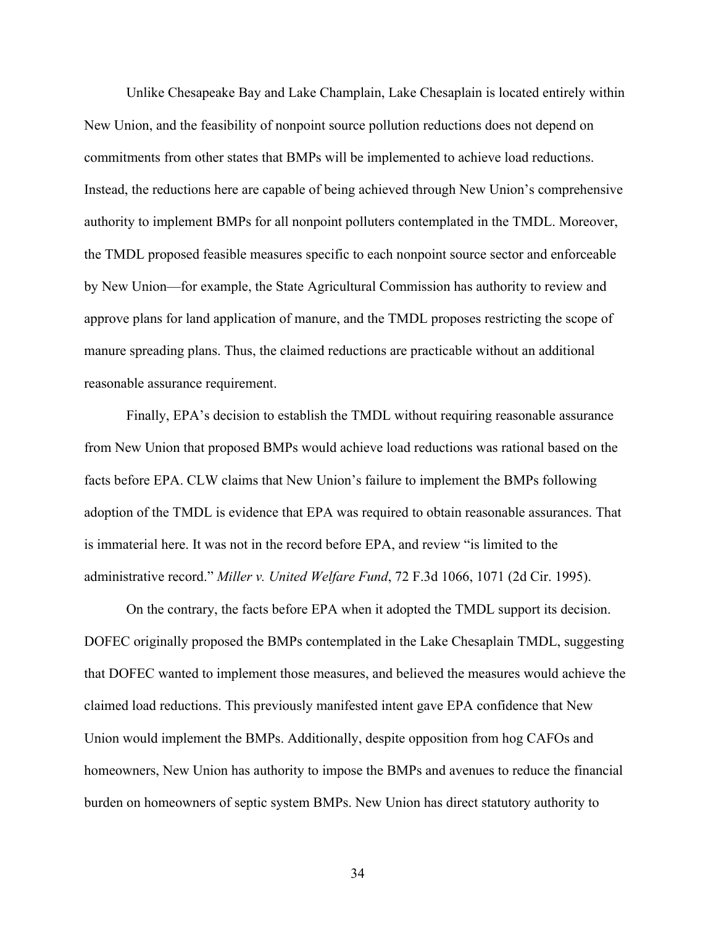Unlike Chesapeake Bay and Lake Champlain, Lake Chesaplain is located entirely within New Union, and the feasibility of nonpoint source pollution reductions does not depend on commitments from other states that BMPs will be implemented to achieve load reductions. Instead, the reductions here are capable of being achieved through New Union's comprehensive authority to implement BMPs for all nonpoint polluters contemplated in the TMDL. Moreover, the TMDL proposed feasible measures specific to each nonpoint source sector and enforceable by New Union—for example, the State Agricultural Commission has authority to review and approve plans for land application of manure, and the TMDL proposes restricting the scope of manure spreading plans. Thus, the claimed reductions are practicable without an additional reasonable assurance requirement.

Finally, EPA's decision to establish the TMDL without requiring reasonable assurance from New Union that proposed BMPs would achieve load reductions was rational based on the facts before EPA. CLW claims that New Union's failure to implement the BMPs following adoption of the TMDL is evidence that EPA was required to obtain reasonable assurances. That is immaterial here. It was not in the record before EPA, and review "is limited to the administrative record." *Miller v. United Welfare Fund*, 72 F.3d 1066, 1071 (2d Cir. 1995).

On the contrary, the facts before EPA when it adopted the TMDL support its decision. DOFEC originally proposed the BMPs contemplated in the Lake Chesaplain TMDL, suggesting that DOFEC wanted to implement those measures, and believed the measures would achieve the claimed load reductions. This previously manifested intent gave EPA confidence that New Union would implement the BMPs. Additionally, despite opposition from hog CAFOs and homeowners, New Union has authority to impose the BMPs and avenues to reduce the financial burden on homeowners of septic system BMPs. New Union has direct statutory authority to